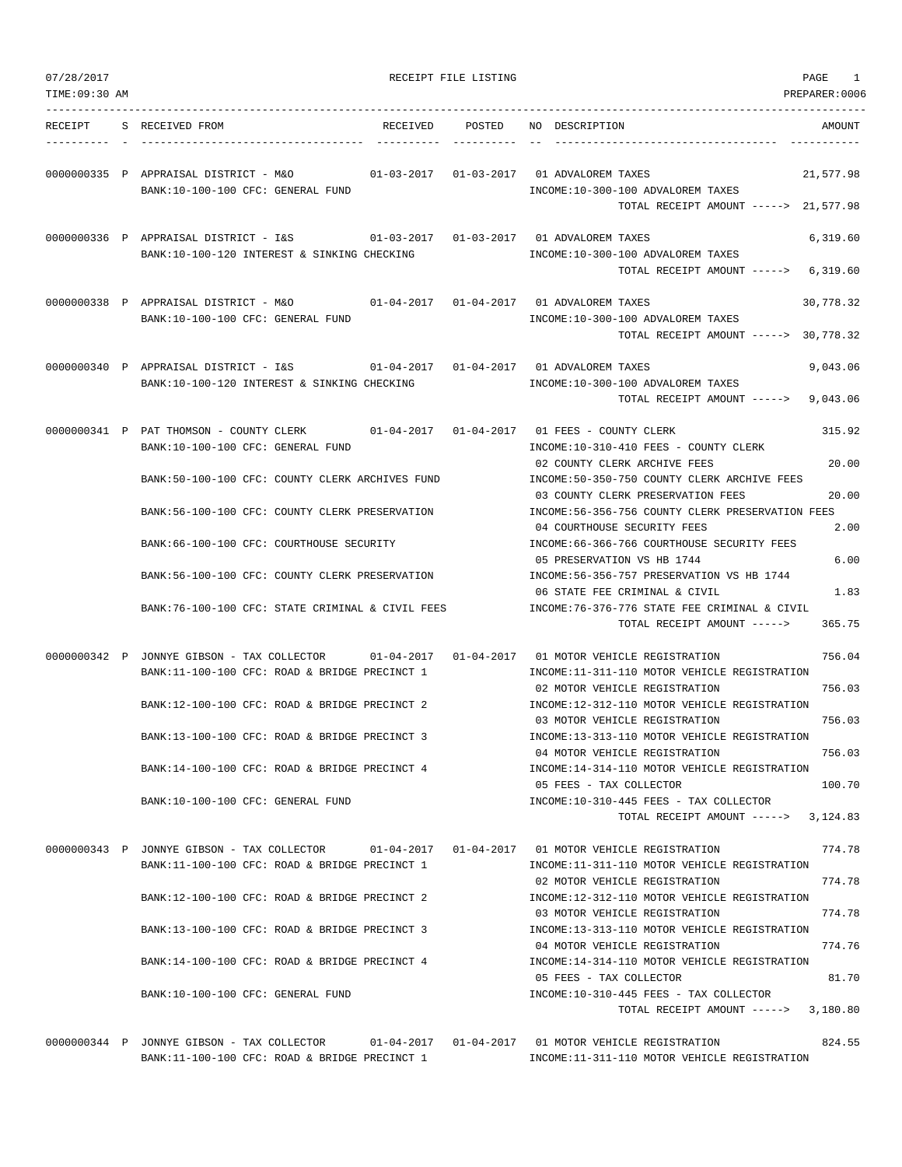| 07/28/2017     |                                                                                                                                                 | RECEIPT FILE LISTING | 1<br>PAGE                                                                                                                                                    |
|----------------|-------------------------------------------------------------------------------------------------------------------------------------------------|----------------------|--------------------------------------------------------------------------------------------------------------------------------------------------------------|
| TIME: 09:30 AM |                                                                                                                                                 |                      | PREPARER:0006                                                                                                                                                |
| RECEIPT        | S RECEIVED FROM<br>RECEIVED                                                                                                                     | POSTED               | NO DESCRIPTION<br>AMOUNT                                                                                                                                     |
|                | 0000000335 P APPRAISAL DISTRICT - M&O<br>BANK:10-100-100 CFC: GENERAL FUND                                                                      |                      | 01-03-2017   01-03-2017   01 ADVALOREM TAXES<br>21,577.98<br>INCOME:10-300-100 ADVALOREM TAXES<br>TOTAL RECEIPT AMOUNT -----> 21,577.98                      |
|                | 0000000336 P APPRAISAL DISTRICT - I&S<br>BANK: 10-100-120 INTEREST & SINKING CHECKING                                                           |                      | 6,319.60<br>INCOME:10-300-100 ADVALOREM TAXES<br>TOTAL RECEIPT AMOUNT -----><br>6,319.60                                                                     |
|                | 0000000338 P APPRAISAL DISTRICT - M&O<br>BANK:10-100-100 CFC: GENERAL FUND                                                                      |                      | 01-04-2017   01-04-2017   01 ADVALOREM TAXES<br>30,778.32<br>INCOME:10-300-100 ADVALOREM TAXES<br>TOTAL RECEIPT AMOUNT -----> 30,778.32                      |
|                | 0000000340 P APPRAISAL DISTRICT - I&S<br>BANK:10-100-120 INTEREST & SINKING CHECKING                                                            |                      | 01-04-2017   01-04-2017   01 ADVALOREM TAXES<br>9,043.06<br>INCOME:10-300-100 ADVALOREM TAXES<br>TOTAL RECEIPT AMOUNT -----><br>9,043.06                     |
|                | 0000000341 P PAT THOMSON - COUNTY CLERK<br>BANK:10-100-100 CFC: GENERAL FUND                                                                    |                      | 01-04-2017   01-04-2017   01   FEES - COUNTY CLERK<br>315.92<br>INCOME:10-310-410 FEES - COUNTY CLERK<br>02 COUNTY CLERK ARCHIVE FEES<br>20.00               |
|                | BANK:50-100-100 CFC: COUNTY CLERK ARCHIVES FUND<br>BANK:56-100-100 CFC: COUNTY CLERK PRESERVATION                                               |                      | INCOME: 50-350-750 COUNTY CLERK ARCHIVE FEES<br>20.00<br>03 COUNTY CLERK PRESERVATION FEES<br>INCOME:56-356-756 COUNTY CLERK PRESERVATION FEES               |
|                | BANK:66-100-100 CFC: COURTHOUSE SECURITY                                                                                                        |                      | 04 COURTHOUSE SECURITY FEES<br>2.00<br>INCOME:66-366-766 COURTHOUSE SECURITY FEES<br>05 PRESERVATION VS HB 1744<br>6.00                                      |
|                | BANK:56-100-100 CFC: COUNTY CLERK PRESERVATION                                                                                                  |                      | INCOME: 56-356-757 PRESERVATION VS HB 1744<br>06 STATE FEE CRIMINAL & CIVIL<br>1.83                                                                          |
|                | BANK:76-100-100 CFC: STATE CRIMINAL & CIVIL FEES                                                                                                |                      | INCOME:76-376-776 STATE FEE CRIMINAL & CIVIL<br>365.75<br>TOTAL RECEIPT AMOUNT ----->                                                                        |
|                | 0000000342 P JONNYE GIBSON - TAX COLLECTOR 01-04-2017 01-04-2017 01 MOTOR VEHICLE REGISTRATION<br>BANK:11-100-100 CFC: ROAD & BRIDGE PRECINCT 1 |                      | 756.04<br>INCOME:11-311-110 MOTOR VEHICLE REGISTRATION                                                                                                       |
|                | BANK:12-100-100 CFC: ROAD & BRIDGE PRECINCT 2                                                                                                   |                      | 756.03<br>02 MOTOR VEHICLE REGISTRATION<br>INCOME:12-312-110 MOTOR VEHICLE REGISTRATION<br>756.03<br>03 MOTOR VEHICLE REGISTRATION                           |
|                | BANK:13-100-100 CFC: ROAD & BRIDGE PRECINCT 3                                                                                                   |                      | INCOME:13-313-110 MOTOR VEHICLE REGISTRATION<br>04 MOTOR VEHICLE REGISTRATION<br>756.03                                                                      |
|                | BANK:14-100-100 CFC: ROAD & BRIDGE PRECINCT 4<br>BANK:10-100-100 CFC: GENERAL FUND                                                              |                      | INCOME:14-314-110 MOTOR VEHICLE REGISTRATION<br>100.70<br>05 FEES - TAX COLLECTOR<br>INCOME:10-310-445 FEES - TAX COLLECTOR                                  |
|                |                                                                                                                                                 |                      | TOTAL RECEIPT AMOUNT -----><br>3,124.83                                                                                                                      |
|                | 0000000343 P JONNYE GIBSON - TAX COLLECTOR<br>BANK:11-100-100 CFC: ROAD & BRIDGE PRECINCT 1                                                     |                      | 01-04-2017   01-04-2017   01 MOTOR VEHICLE REGISTRATION<br>774.78<br>INCOME:11-311-110 MOTOR VEHICLE REGISTRATION<br>02 MOTOR VEHICLE REGISTRATION<br>774.78 |
|                | BANK:12-100-100 CFC: ROAD & BRIDGE PRECINCT 2                                                                                                   |                      | INCOME:12-312-110 MOTOR VEHICLE REGISTRATION<br>774.78<br>03 MOTOR VEHICLE REGISTRATION                                                                      |
|                | BANK:13-100-100 CFC: ROAD & BRIDGE PRECINCT 3<br>BANK:14-100-100 CFC: ROAD & BRIDGE PRECINCT 4                                                  |                      | INCOME:13-313-110 MOTOR VEHICLE REGISTRATION<br>774.76<br>04 MOTOR VEHICLE REGISTRATION<br>INCOME:14-314-110 MOTOR VEHICLE REGISTRATION                      |
|                | BANK:10-100-100 CFC: GENERAL FUND                                                                                                               |                      | 81.70<br>05 FEES - TAX COLLECTOR<br>INCOME:10-310-445 FEES - TAX COLLECTOR                                                                                   |
|                |                                                                                                                                                 |                      | TOTAL RECEIPT AMOUNT -----> 3,180.80                                                                                                                         |
|                | 0000000344 P JONNYE GIBSON - TAX COLLECTOR<br>BANK:11-100-100 CFC: ROAD & BRIDGE PRECINCT 1                                                     |                      | 824.55<br>01-04-2017  01-04-2017  01 MOTOR VEHICLE REGISTRATION<br>INCOME:11-311-110 MOTOR VEHICLE REGISTRATION                                              |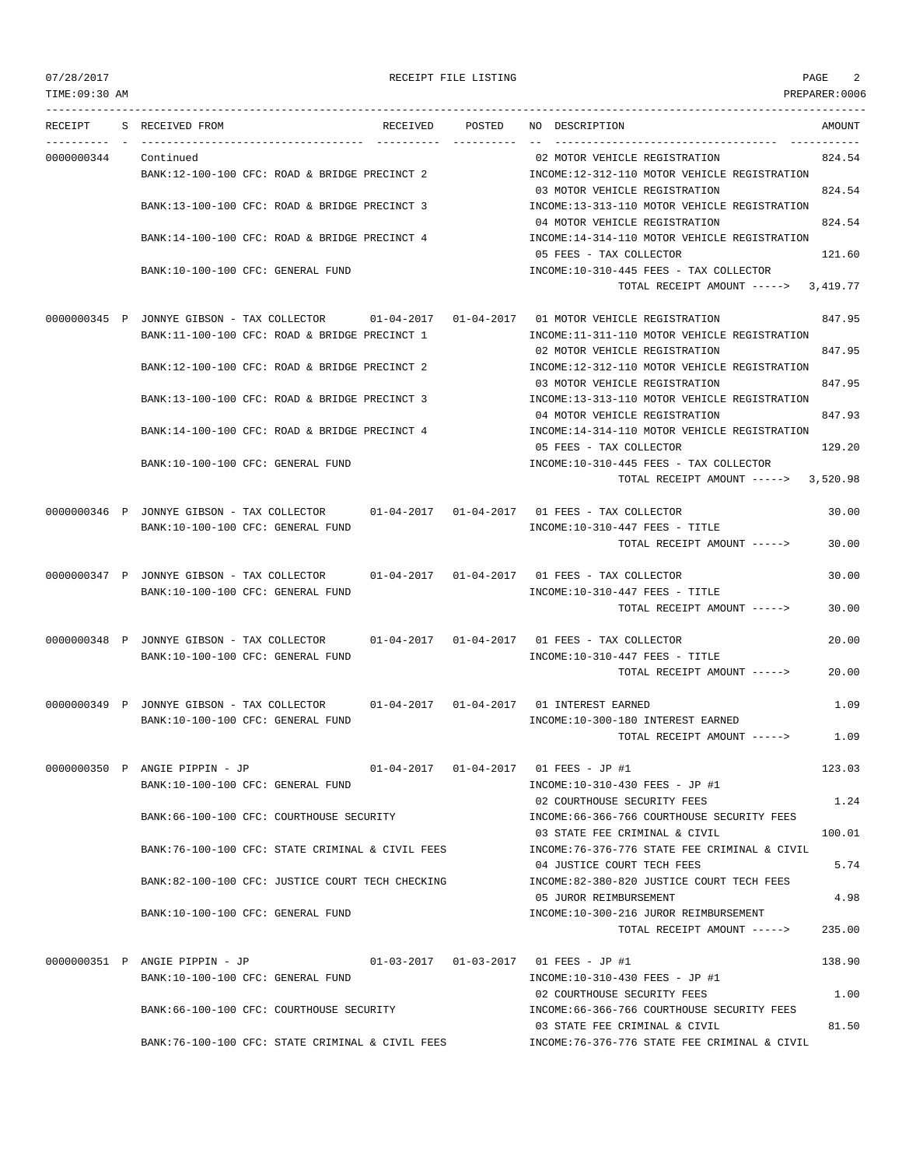| 07/28/2017     |                                                                                                           |                 | RECEIPT FILE LISTING |                                                                                     | PAGE          | 2      |
|----------------|-----------------------------------------------------------------------------------------------------------|-----------------|----------------------|-------------------------------------------------------------------------------------|---------------|--------|
| TIME: 09:30 AM |                                                                                                           |                 |                      |                                                                                     | PREPARER:0006 |        |
|                | RECEIPT S RECEIVED FROM                                                                                   | RECEIVED POSTED |                      | NO DESCRIPTION<br>--------------------------------------                            |               | AMOUNT |
| 0000000344     | Continued                                                                                                 |                 |                      | 02 MOTOR VEHICLE REGISTRATION                                                       |               | 824.54 |
|                | BANK:12-100-100 CFC: ROAD & BRIDGE PRECINCT 2                                                             |                 |                      | INCOME:12-312-110 MOTOR VEHICLE REGISTRATION<br>03 MOTOR VEHICLE REGISTRATION       |               | 824.54 |
|                | BANK:13-100-100 CFC: ROAD & BRIDGE PRECINCT 3                                                             |                 |                      | INCOME:13-313-110 MOTOR VEHICLE REGISTRATION<br>04 MOTOR VEHICLE REGISTRATION       |               | 824.54 |
|                | BANK:14-100-100 CFC: ROAD & BRIDGE PRECINCT 4                                                             |                 |                      | INCOME:14-314-110 MOTOR VEHICLE REGISTRATION                                        |               |        |
|                |                                                                                                           |                 |                      | 05 FEES - TAX COLLECTOR                                                             |               | 121.60 |
|                | BANK:10-100-100 CFC: GENERAL FUND                                                                         |                 |                      | INCOME:10-310-445 FEES - TAX COLLECTOR<br>TOTAL RECEIPT AMOUNT $---2$ 3,419.77      |               |        |
|                | 0000000345 P JONNYE GIBSON - TAX COLLECTOR 01-04-2017 01-04-2017 01 MOTOR VEHICLE REGISTRATION            |                 |                      |                                                                                     |               | 847.95 |
|                | BANK:11-100-100 CFC: ROAD & BRIDGE PRECINCT 1                                                             |                 |                      | INCOME:11-311-110 MOTOR VEHICLE REGISTRATION                                        |               |        |
|                | BANK:12-100-100 CFC: ROAD & BRIDGE PRECINCT 2                                                             |                 |                      | 02 MOTOR VEHICLE REGISTRATION<br>INCOME:12-312-110 MOTOR VEHICLE REGISTRATION       |               | 847.95 |
|                |                                                                                                           |                 |                      | 03 MOTOR VEHICLE REGISTRATION                                                       |               | 847.95 |
|                | BANK:13-100-100 CFC: ROAD & BRIDGE PRECINCT 3                                                             |                 |                      | INCOME:13-313-110 MOTOR VEHICLE REGISTRATION<br>04 MOTOR VEHICLE REGISTRATION       |               | 847.93 |
|                | BANK:14-100-100 CFC: ROAD & BRIDGE PRECINCT 4                                                             |                 |                      | INCOME:14-314-110 MOTOR VEHICLE REGISTRATION<br>05 FEES - TAX COLLECTOR             |               | 129.20 |
|                | BANK:10-100-100 CFC: GENERAL FUND                                                                         |                 |                      | INCOME:10-310-445 FEES - TAX COLLECTOR                                              |               |        |
|                |                                                                                                           |                 |                      | TOTAL RECEIPT AMOUNT -----> 3,520.98                                                |               |        |
|                | $0000000346$ P JONNYE GIBSON - TAX COLLECTOR $01-04-2017$ $01-04-2017$ 01 FEES - TAX COLLECTOR            |                 |                      |                                                                                     |               | 30.00  |
|                | BANK:10-100-100 CFC: GENERAL FUND                                                                         |                 |                      | $INCOME: 10-310-447$ FEES - TITLE<br>TOTAL RECEIPT AMOUNT ----->                    |               | 30.00  |
|                | 0000000347 P JONNYE GIBSON - TAX COLLECTOR 01-04-2017 01-04-2017 01 FEES - TAX COLLECTOR                  |                 |                      |                                                                                     |               | 30.00  |
|                | BANK:10-100-100 CFC: GENERAL FUND                                                                         |                 |                      | $INCOME: 10-310-447$ FEES - TITLE<br>TOTAL RECEIPT AMOUNT ----->                    |               | 30.00  |
|                |                                                                                                           |                 |                      |                                                                                     |               |        |
|                | 0000000348 P JONNYE GIBSON - TAX COLLECTOR<br>BANK:10-100-100 CFC: GENERAL FUND                           |                 |                      | $01-04-2017$ $01-04-2017$ 01 FEES - TAX COLLECTOR<br>INCOME:10-310-447 FEES - TITLE |               | 20.00  |
|                |                                                                                                           |                 |                      | TOTAL RECEIPT AMOUNT ----->                                                         |               | 20.00  |
|                | 0000000349 P JONNYE GIBSON - TAX COLLECTOR 01-04-2017 01-04-2017 01 INTEREST EARNED                       |                 |                      |                                                                                     |               | 1.09   |
|                | BANK:10-100-100 CFC: GENERAL FUND                                                                         |                 |                      | INCOME:10-300-180 INTEREST EARNED                                                   |               |        |
|                |                                                                                                           |                 |                      | TOTAL RECEIPT AMOUNT ----->                                                         |               | 1.09   |
|                | 0000000350 P ANGIE PIPPIN - JP 01-04-2017 01-04-2017 01 FEES - JP #1<br>BANK:10-100-100 CFC: GENERAL FUND |                 |                      |                                                                                     |               | 123.03 |
|                |                                                                                                           |                 |                      | INCOME:10-310-430 FEES - JP #1<br>02 COURTHOUSE SECURITY FEES                       |               | 1.24   |
|                | BANK:66-100-100 CFC: COURTHOUSE SECURITY                                                                  |                 |                      | INCOME:66-366-766 COURTHOUSE SECURITY FEES<br>03 STATE FEE CRIMINAL & CIVIL         |               | 100.01 |
|                | BANK:76-100-100 CFC: STATE CRIMINAL & CIVIL FEES                                                          |                 |                      | INCOME: 76-376-776 STATE FEE CRIMINAL & CIVIL<br>04 JUSTICE COURT TECH FEES         |               | 5.74   |
|                | BANK:82-100-100 CFC: JUSTICE COURT TECH CHECKING                                                          |                 |                      | INCOME:82-380-820 JUSTICE COURT TECH FEES                                           |               |        |
|                | BANK:10-100-100 CFC: GENERAL FUND                                                                         |                 |                      | 05 JUROR REIMBURSEMENT<br>INCOME:10-300-216 JUROR REIMBURSEMENT                     |               | 4.98   |
|                |                                                                                                           |                 |                      | TOTAL RECEIPT AMOUNT ----->                                                         |               | 235.00 |
|                | 0000000351 P ANGIE PIPPIN - JP                                                                            |                 |                      |                                                                                     |               | 138.90 |
|                | BANK:10-100-100 CFC: GENERAL FUND                                                                         |                 |                      | INCOME:10-310-430 FEES - JP #1<br>02 COURTHOUSE SECURITY FEES                       |               | 1.00   |
|                | BANK:66-100-100 CFC: COURTHOUSE SECURITY                                                                  |                 |                      | INCOME:66-366-766 COURTHOUSE SECURITY FEES                                          |               |        |
|                | BANK:76-100-100 CFC: STATE CRIMINAL & CIVIL FEES                                                          |                 |                      | 03 STATE FEE CRIMINAL & CIVIL<br>INCOME:76-376-776 STATE FEE CRIMINAL & CIVIL       |               | 81.50  |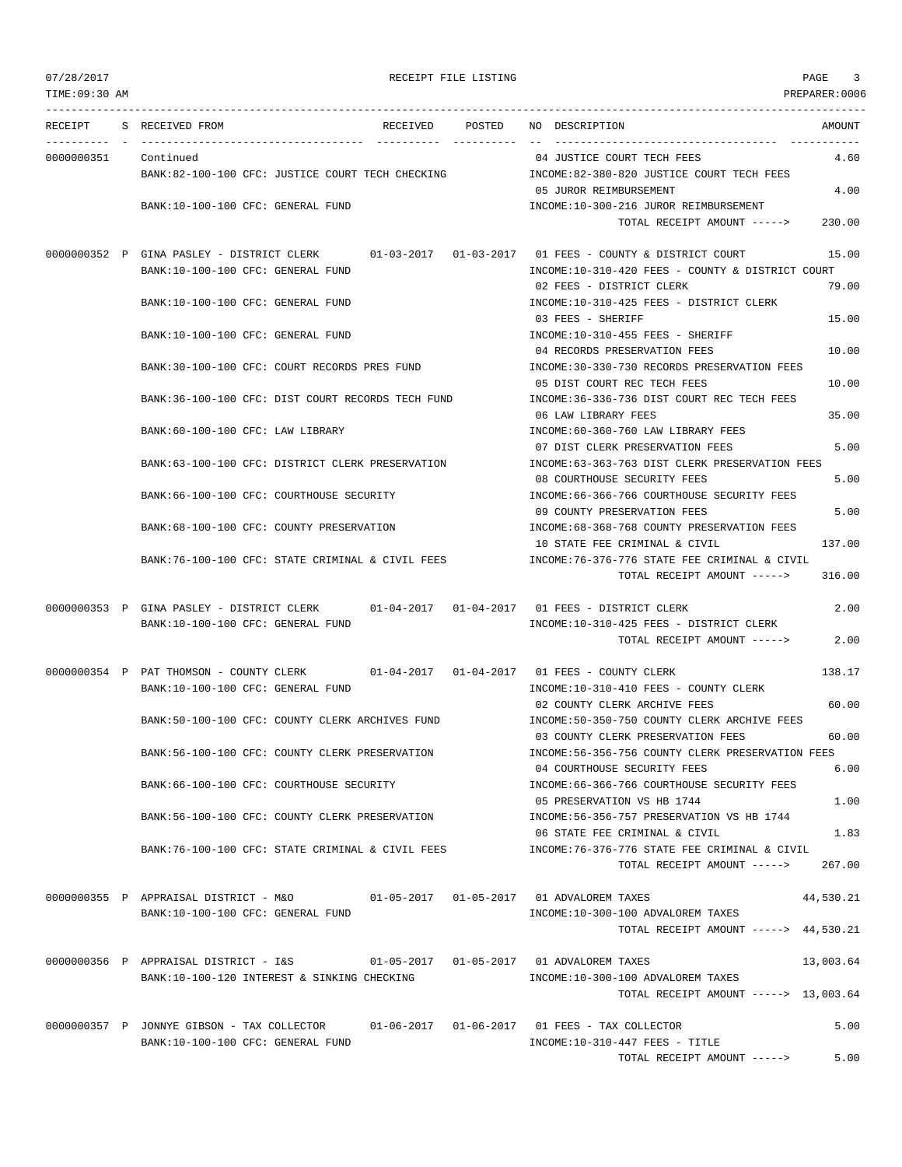| 07/28/2017 |  |  |  |  |
|------------|--|--|--|--|
|------------|--|--|--|--|

| 07/28/2017     | RECEIPT FILE LISTING                                                            | 3<br>PAGE                                                                             |
|----------------|---------------------------------------------------------------------------------|---------------------------------------------------------------------------------------|
| TIME: 09:30 AM |                                                                                 | PREPARER:0006                                                                         |
|                | RECEIPT S RECEIVED FROM<br>RECEIVED POSTED                                      | NO DESCRIPTION<br>AMOUNT                                                              |
| 0000000351     | Continued                                                                       | 04 JUSTICE COURT TECH FEES<br>4.60                                                    |
|                | BANK:82-100-100 CFC: JUSTICE COURT TECH CHECKING                                | INCOME:82-380-820 JUSTICE COURT TECH FEES                                             |
|                |                                                                                 | 4.00<br>05 JUROR REIMBURSEMENT                                                        |
|                | BANK:10-100-100 CFC: GENERAL FUND                                               | INCOME:10-300-216 JUROR REIMBURSEMENT                                                 |
|                |                                                                                 | TOTAL RECEIPT AMOUNT -----><br>230.00                                                 |
|                | $01 - 03 - 2017$ $01 - 03 - 2017$<br>0000000352 P GINA PASLEY - DISTRICT CLERK  | 01 FEES - COUNTY & DISTRICT COURT<br>15.00                                            |
|                | BANK:10-100-100 CFC: GENERAL FUND                                               | INCOME:10-310-420 FEES - COUNTY & DISTRICT COURT                                      |
|                |                                                                                 | 79.00<br>02 FEES - DISTRICT CLERK                                                     |
|                | BANK:10-100-100 CFC: GENERAL FUND                                               | INCOME:10-310-425 FEES - DISTRICT CLERK                                               |
|                |                                                                                 | 15.00<br>03 FEES - SHERIFF                                                            |
|                | BANK:10-100-100 CFC: GENERAL FUND                                               | INCOME:10-310-455 FEES - SHERIFF                                                      |
|                |                                                                                 | 04 RECORDS PRESERVATION FEES<br>10.00                                                 |
|                | BANK:30-100-100 CFC: COURT RECORDS PRES FUND                                    | INCOME: 30-330-730 RECORDS PRESERVATION FEES                                          |
|                |                                                                                 | 05 DIST COURT REC TECH FEES<br>10.00                                                  |
|                | BANK:36-100-100 CFC: DIST COURT RECORDS TECH FUND                               | INCOME: 36-336-736 DIST COURT REC TECH FEES<br>35.00<br>06 LAW LIBRARY FEES           |
|                | BANK:60-100-100 CFC: LAW LIBRARY                                                | INCOME:60-360-760 LAW LIBRARY FEES                                                    |
|                |                                                                                 | 07 DIST CLERK PRESERVATION FEES<br>5.00                                               |
|                | BANK:63-100-100 CFC: DISTRICT CLERK PRESERVATION                                | INCOME:63-363-763 DIST CLERK PRESERVATION FEES                                        |
|                |                                                                                 | 08 COURTHOUSE SECURITY FEES<br>5.00                                                   |
|                | BANK:66-100-100 CFC: COURTHOUSE SECURITY                                        | INCOME: 66-366-766 COURTHOUSE SECURITY FEES                                           |
|                |                                                                                 | 5.00<br>09 COUNTY PRESERVATION FEES                                                   |
|                | BANK:68-100-100 CFC: COUNTY PRESERVATION                                        | INCOME:68-368-768 COUNTY PRESERVATION FEES<br>137.00<br>10 STATE FEE CRIMINAL & CIVIL |
|                | BANK:76-100-100 CFC: STATE CRIMINAL & CIVIL FEES                                | INCOME:76-376-776 STATE FEE CRIMINAL & CIVIL                                          |
|                |                                                                                 | TOTAL RECEIPT AMOUNT -----><br>316.00                                                 |
|                | $01 - 04 - 2017$ $01 - 04 - 2017$<br>0000000353 P GINA PASLEY - DISTRICT CLERK  | 2.00<br>01 FEES - DISTRICT CLERK                                                      |
|                | BANK:10-100-100 CFC: GENERAL FUND                                               | INCOME:10-310-425 FEES - DISTRICT CLERK                                               |
|                |                                                                                 | TOTAL RECEIPT AMOUNT -----><br>2.00                                                   |
|                | 0000000354 P PAT THOMSON - COUNTY CLERK                                         | 01-04-2017   01-04-2017   01   FEES - COUNTY CLERK<br>138.17                          |
|                | BANK:10-100-100 CFC: GENERAL FUND                                               | INCOME:10-310-410 FEES - COUNTY CLERK                                                 |
|                |                                                                                 | 02 COUNTY CLERK ARCHIVE FEES<br>60.00                                                 |
|                | BANK:50-100-100 CFC: COUNTY CLERK ARCHIVES FUND                                 | INCOME:50-350-750 COUNTY CLERK ARCHIVE FEES                                           |
|                |                                                                                 | 03 COUNTY CLERK PRESERVATION FEES<br>60.00                                            |
|                | BANK:56-100-100 CFC: COUNTY CLERK PRESERVATION                                  | INCOME:56-356-756 COUNTY CLERK PRESERVATION FEES                                      |
|                |                                                                                 | 6.00<br>04 COURTHOUSE SECURITY FEES                                                   |
|                | BANK:66-100-100 CFC: COURTHOUSE SECURITY                                        | INCOME:66-366-766 COURTHOUSE SECURITY FEES<br>1.00                                    |
|                | BANK:56-100-100 CFC: COUNTY CLERK PRESERVATION                                  | 05 PRESERVATION VS HB 1744<br>INCOME: 56-356-757 PRESERVATION VS HB 1744              |
|                |                                                                                 | 06 STATE FEE CRIMINAL & CIVIL<br>1.83                                                 |
|                | BANK:76-100-100 CFC: STATE CRIMINAL & CIVIL FEES                                | INCOME:76-376-776 STATE FEE CRIMINAL & CIVIL                                          |
|                |                                                                                 | TOTAL RECEIPT AMOUNT -----><br>267.00                                                 |
|                | 0000000355 P APPRAISAL DISTRICT - M&O                                           | 44,530.21                                                                             |
|                | BANK:10-100-100 CFC: GENERAL FUND                                               | INCOME:10-300-100 ADVALOREM TAXES                                                     |
|                |                                                                                 | TOTAL RECEIPT AMOUNT -----> 44,530.21                                                 |
|                |                                                                                 |                                                                                       |
|                | 0000000356 P APPRAISAL DISTRICT - I&S                                           | 01-05-2017   01-05-2017   01 ADVALOREM TAXES<br>13,003.64                             |
|                | BANK:10-100-120 INTEREST & SINKING CHECKING                                     | INCOME:10-300-100 ADVALOREM TAXES                                                     |
|                |                                                                                 | TOTAL RECEIPT AMOUNT -----> 13,003.64                                                 |
|                |                                                                                 | 5.00                                                                                  |
|                | 0000000357 P JONNYE GIBSON - TAX COLLECTOR<br>BANK:10-100-100 CFC: GENERAL FUND | $01-06-2017$ $01-06-2017$ 01 FEES - TAX COLLECTOR<br>INCOME:10-310-447 FEES - TITLE   |
|                |                                                                                 | 5.00<br>TOTAL RECEIPT AMOUNT ----->                                                   |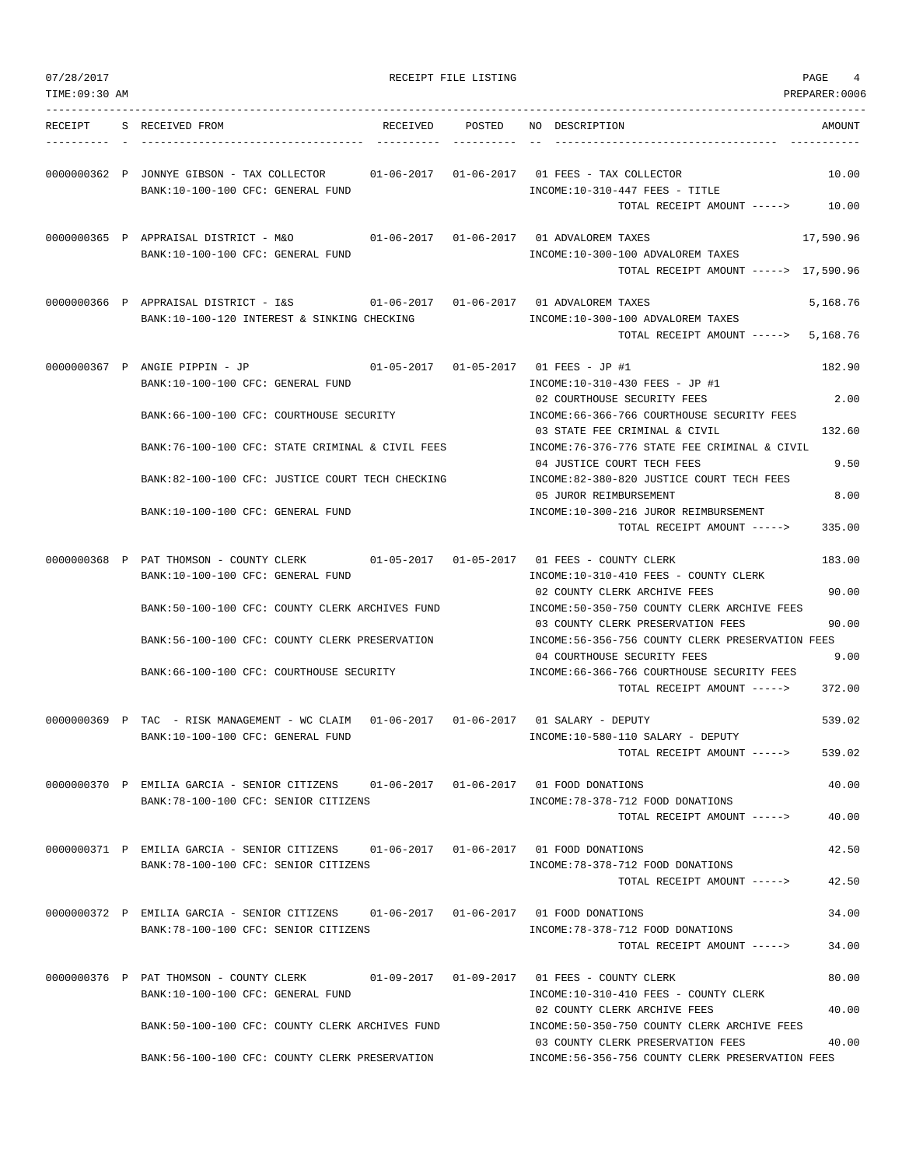| 07/28/2017     |                                                                                                                               | RECEIPT FILE LISTING |                                                                                                                              | PAGE<br>4            |
|----------------|-------------------------------------------------------------------------------------------------------------------------------|----------------------|------------------------------------------------------------------------------------------------------------------------------|----------------------|
| TIME: 09:30 AM |                                                                                                                               |                      |                                                                                                                              | PREPARER: 0006       |
| RECEIPT        | S RECEIVED FROM<br>RECEIVED                                                                                                   | POSTED               | NO DESCRIPTION                                                                                                               | AMOUNT               |
|                | 0000000362 P JONNYE GIBSON - TAX COLLECTOR 01-06-2017 01-06-2017 01 FEES - TAX COLLECTOR<br>BANK:10-100-100 CFC: GENERAL FUND |                      | $INCOME: 10-310-447$ FEES - TITLE<br>TOTAL RECEIPT AMOUNT ----->                                                             | 10.00<br>10.00       |
|                | 0000000365 P APPRAISAL DISTRICT - M&O<br>BANK:10-100-100 CFC: GENERAL FUND                                                    |                      | 01-06-2017   01-06-2017   01 ADVALOREM TAXES<br>INCOME:10-300-100 ADVALOREM TAXES<br>TOTAL RECEIPT AMOUNT -----> 17,590.96   | 17,590.96            |
|                | BANK:10-100-120 INTEREST & SINKING CHECKING                                                                                   |                      | INCOME:10-300-100 ADVALOREM TAXES<br>TOTAL RECEIPT AMOUNT ----->                                                             | 5,168.76<br>5,168.76 |
|                | 0000000367 P ANGIE PIPPIN - JP<br>BANK:10-100-100 CFC: GENERAL FUND                                                           |                      | 01-05-2017  01-05-2017  01 FEES - JP #1<br>INCOME:10-310-430 FEES - JP #1<br>02 COURTHOUSE SECURITY FEES                     | 182.90<br>2.00       |
|                | BANK:66-100-100 CFC: COURTHOUSE SECURITY<br>BANK:76-100-100 CFC: STATE CRIMINAL & CIVIL FEES                                  |                      | INCOME:66-366-766 COURTHOUSE SECURITY FEES<br>03 STATE FEE CRIMINAL & CIVIL<br>INCOME: 76-376-776 STATE FEE CRIMINAL & CIVIL | 132.60               |
|                | BANK:82-100-100 CFC: JUSTICE COURT TECH CHECKING                                                                              |                      | 04 JUSTICE COURT TECH FEES<br>INCOME:82-380-820 JUSTICE COURT TECH FEES                                                      | 9.50                 |
|                | BANK:10-100-100 CFC: GENERAL FUND                                                                                             |                      | 05 JUROR REIMBURSEMENT<br>INCOME:10-300-216 JUROR REIMBURSEMENT<br>TOTAL RECEIPT AMOUNT ----->                               | 8.00<br>335.00       |
|                | 0000000368 P PAT THOMSON - COUNTY CLERK                                                                                       |                      | $01-05-2017$ $01-05-2017$ 01 FEES - COUNTY CLERK                                                                             | 183.00               |
|                | BANK:10-100-100 CFC: GENERAL FUND<br>BANK:50-100-100 CFC: COUNTY CLERK ARCHIVES FUND                                          |                      | INCOME:10-310-410 FEES - COUNTY CLERK<br>02 COUNTY CLERK ARCHIVE FEES<br>INCOME:50-350-750 COUNTY CLERK ARCHIVE FEES         | 90.00                |
|                | BANK:56-100-100 CFC: COUNTY CLERK PRESERVATION                                                                                |                      | 03 COUNTY CLERK PRESERVATION FEES<br>INCOME:56-356-756 COUNTY CLERK PRESERVATION FEES                                        | 90.00                |
|                | BANK:66-100-100 CFC: COURTHOUSE SECURITY                                                                                      |                      | 04 COURTHOUSE SECURITY FEES<br>INCOME:66-366-766 COURTHOUSE SECURITY FEES<br>TOTAL RECEIPT AMOUNT ----->                     | 9.00<br>372.00       |
|                | 0000000369 P TAC - RISK MANAGEMENT - WC CLAIM 01-06-2017 01-06-2017 01 SALARY - DEPUTY<br>BANK:10-100-100 CFC: GENERAL FUND   |                      | $INCOME:10-580-110 SALARY - DEPUTY$                                                                                          | 539.02               |
|                |                                                                                                                               |                      | TOTAL RECEIPT AMOUNT ----->                                                                                                  | 539.02               |
|                | 0000000370 P EMILIA GARCIA - SENIOR CITIZENS 01-06-2017 01-06-2017 01 FOOD DONATIONS<br>BANK: 78-100-100 CFC: SENIOR CITIZENS |                      | INCOME: 78-378-712 FOOD DONATIONS<br>TOTAL RECEIPT AMOUNT ----->                                                             | 40.00<br>40.00       |
|                | 0000000371 P EMILIA GARCIA - SENIOR CITIZENS 01-06-2017 01-06-2017 01 FOOD DONATIONS                                          |                      |                                                                                                                              | 42.50                |
|                | BANK:78-100-100 CFC: SENIOR CITIZENS                                                                                          |                      | INCOME: 78-378-712 FOOD DONATIONS<br>TOTAL RECEIPT AMOUNT ----->                                                             | 42.50                |
|                | 0000000372 P EMILIA GARCIA - SENIOR CITIZENS 01-06-2017 01-06-2017 01 FOOD DONATIONS<br>BANK: 78-100-100 CFC: SENIOR CITIZENS |                      | INCOME: 78-378-712 FOOD DONATIONS                                                                                            | 34.00                |
|                |                                                                                                                               |                      | TOTAL RECEIPT AMOUNT ----->                                                                                                  | 34.00                |
|                | 0000000376 P PAT THOMSON - COUNTY CLERK<br>BANK:10-100-100 CFC: GENERAL FUND                                                  |                      | INCOME:10-310-410 FEES - COUNTY CLERK<br>02 COUNTY CLERK ARCHIVE FEES                                                        | 80.00<br>40.00       |
|                | BANK:50-100-100 CFC: COUNTY CLERK ARCHIVES FUND                                                                               |                      | INCOME:50-350-750 COUNTY CLERK ARCHIVE FEES<br>03 COUNTY CLERK PRESERVATION FEES                                             | 40.00                |
|                | BANK:56-100-100 CFC: COUNTY CLERK PRESERVATION                                                                                |                      | INCOME:56-356-756 COUNTY CLERK PRESERVATION FEES                                                                             |                      |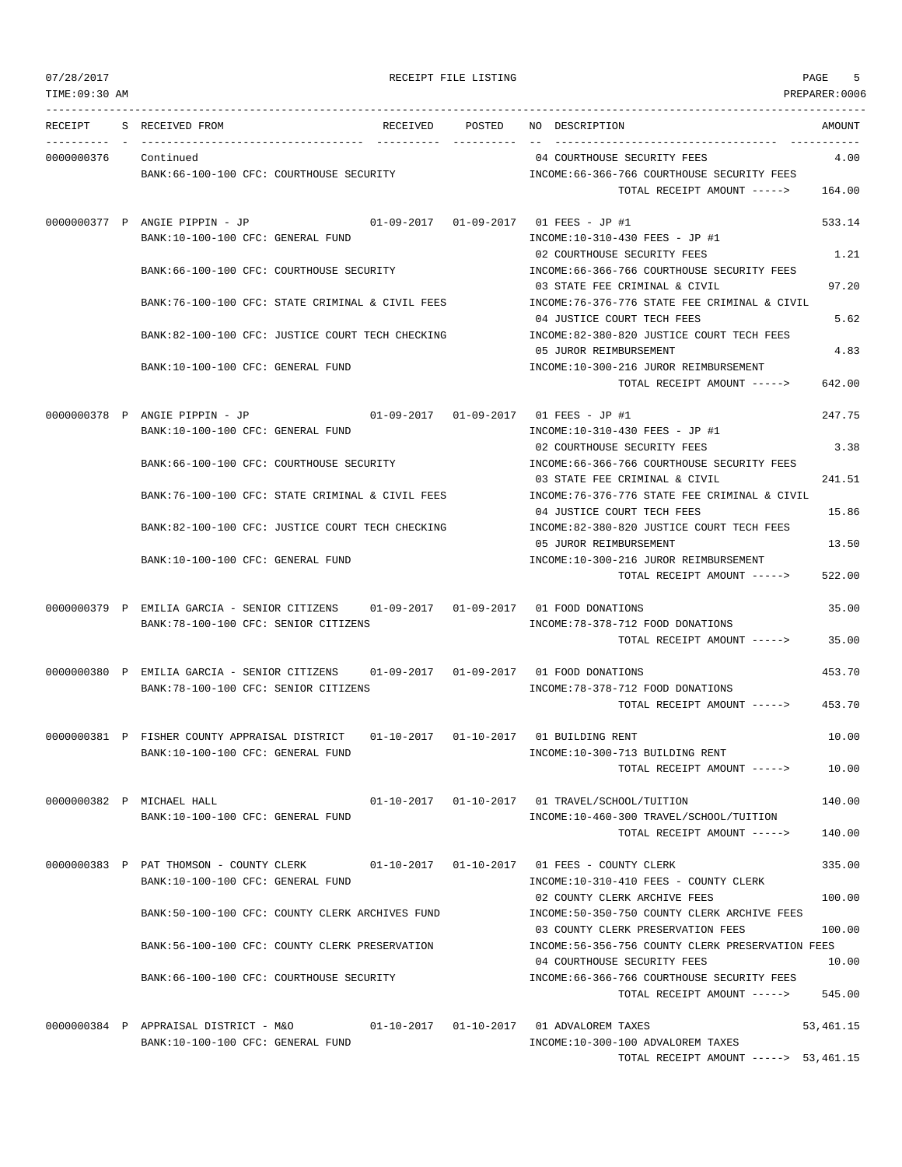TIME:09:30 AM PREPARER:0006 --------------------------------------------------------------------------------------------------------------------------------- RECEIPT S RECEIVED FROM RECEIVED POSTED NO DESCRIPTION AMOUNT ---------- - ----------------------------------- ---------- ---------- -- ----------------------------------- ----------- 0000000376 Continued 04 COURTHOUSE SECURITY FEES 4.00 BANK:66-100-100 CFC: COURTHOUSE SECURITY INCOME:66-366-766 COURTHOUSE SECURITY FEES TOTAL RECEIPT AMOUNT -----> 164.00 0000000377 P ANGIE PIPPIN - JP 01-09-2017 01-09-2017 01 FEES - JP #1 533.14 BANK:10-100-100 CFC: GENERAL FUND INCOME:10-310-430 FEES - JP #1 02 COURTHOUSE SECURITY FEES 1.21 BANK:66-100-100 CFC: COURTHOUSE SECURITY INCOME:66-366-766 COURTHOUSE SECURITY FEES 03 STATE FEE CRIMINAL & CIVIL 97.20 BANK:76-100-100 CFC: STATE CRIMINAL & CIVIL FEES INCOME:76-376-776 STATE FEE CRIMINAL & CIVIL 04 JUSTICE COURT TECH FEES 5.62 BANK:82-100-100 CFC: JUSTICE COURT TECH CHECKING INCOME:82-380-820 JUSTICE COURT TECH FEES 05 JUROR REIMBURSEMENT 4.83 BANK:10-100-100 CFC: GENERAL FUND INCOME:10-300-216 JUROR REIMBURSEMENT TOTAL RECEIPT AMOUNT  $--- 5$  642.00 0000000378 P ANGIE PIPPIN - JP 01-09-2017 01-09-2017 01 FEES - JP #1 247.75 BANK:10-100-100 CFC: GENERAL FUND INCOME:10-310-430 FEES - JP #1 02 COURTHOUSE SECURITY FEES 3.38 BANK:66-100-100 CFC: COURTHOUSE SECURITY INCOME:66-366-766 COURTHOUSE SECURITY FEES 03 STATE FEE CRIMINAL & CIVIL 241.51 BANK:76-100-100 CFC: STATE CRIMINAL & CIVIL FEES INCOME:76-376-776 STATE FEE CRIMINAL & CIVIL 04 JUSTICE COURT TECH FEES 15.86 BANK:82-100-100 CFC: JUSTICE COURT TECH CHECKING INCOME:82-380-820 JUSTICE COURT TECH FEES 05 JUROR REIMBURSEMENT 13.50 BANK:10-100-100 CFC: GENERAL FUND INCOME:10-300-216 JUROR REIMBURSEMENT TOTAL RECEIPT AMOUNT -----> 522.00 0000000379 P EMILIA GARCIA - SENIOR CITIZENS 01-09-2017 01-09-2017 01 FOOD DONATIONS 35.00 BANK:78-100-100 CFC: SENIOR CITIZENS INCOME:78-378-712 FOOD DONATIONS TOTAL RECEIPT AMOUNT -----> 35.00 0000000380 P EMILIA GARCIA - SENIOR CITIZENS 01-09-2017 01-09-2017 01 FOOD DONATIONS 453.70 BANK:78-100-100 CFC: SENIOR CITIZENS INCOME:78-378-712 FOOD DONATIONS TOTAL RECEIPT AMOUNT -----> 453.70 0000000381 P FISHER COUNTY APPRAISAL DISTRICT 01-10-2017 01-10-2017 01 BUILDING RENT 10.00 BANK:10-100-100 CFC: GENERAL FUND INCOME:10-300-713 BUILDING RENT TOTAL RECEIPT AMOUNT -----> 10.00 0000000382 P MICHAEL HALL 01-10-2017 01-10-2017 01 TRAVEL/SCHOOL/TUITION 140.00 BANK:10-100-100 CFC: GENERAL FUND INCOME:10-460-300 TRAVEL/SCHOOL/TUITION TOTAL RECEIPT AMOUNT -----> 140.00 0000000383 P PAT THOMSON - COUNTY CLERK 01-10-2017 01-10-2017 01 FEES - COUNTY CLERK 335.00 BANK:10-100-100 CFC: GENERAL FUND SANK:10-310-410 FEES - COUNTY CLERK 02 COUNTY CLERK ARCHIVE FEES 100.00 BANK:50-100-100 CFC: COUNTY CLERK ARCHIVES FUND INCOME:50-350-750 COUNTY CLERK ARCHIVE FEES 03 COUNTY CLERK PRESERVATION FEES 100.00 BANK:56-100-100 CFC: COUNTY CLERK PRESERVATION INCOME:56-356-756 COUNTY CLERK PRESERVATION FEES 04 COURTHOUSE SECURITY FEES 10.00 BANK:66-100-100 CFC: COURTHOUSE SECURITY INCOME:66-366-766 COURTHOUSE SECURITY FEES TOTAL RECEIPT AMOUNT -----> 545.00 0000000384 P APPRAISAL DISTRICT - M&O 01-10-2017 01-10-2017 01 ADVALOREM TAXES 53,461.15

BANK:10-100-100 CFC: GENERAL FUND INCOME:10-300-100 ADVALOREM TAXES TOTAL RECEIPT AMOUNT -----> 53,461.15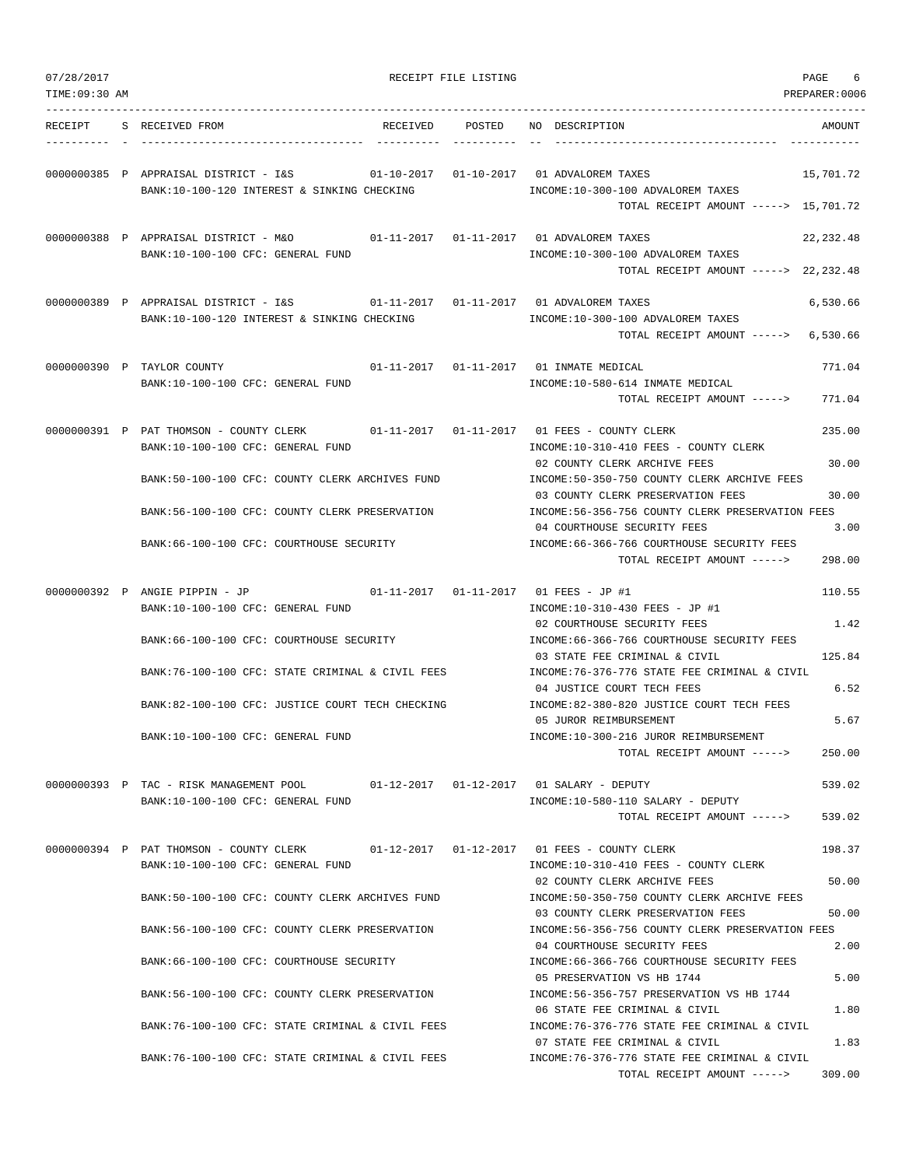| 07/28/2017<br>TIME: 09:30 AM |                                                                                                                           |          | RECEIPT FILE LISTING |                                                                                                                                        | PAGE<br>6<br>PREPARER:0006 |
|------------------------------|---------------------------------------------------------------------------------------------------------------------------|----------|----------------------|----------------------------------------------------------------------------------------------------------------------------------------|----------------------------|
| RECEIPT                      | S RECEIVED FROM                                                                                                           | RECEIVED | POSTED               | NO DESCRIPTION                                                                                                                         | AMOUNT                     |
|                              | 0000000385 P APPRAISAL DISTRICT - I&S<br>BANK:10-100-120 INTEREST & SINKING CHECKING                                      |          |                      | 01-10-2017  01-10-2017  01 ADVALOREM TAXES<br>INCOME:10-300-100 ADVALOREM TAXES<br>TOTAL RECEIPT AMOUNT -----> 15,701.72               | 15,701.72                  |
|                              | 0000000388 P APPRAISAL DISTRICT - M&O<br>BANK:10-100-100 CFC: GENERAL FUND                                                |          |                      | 01-11-2017  01-11-2017  01 ADVALOREM TAXES<br>INCOME:10-300-100 ADVALOREM TAXES<br>TOTAL RECEIPT AMOUNT -----> 22,232.48               | 22, 232.48                 |
|                              | 0000000389 P APPRAISAL DISTRICT - I&S<br>BANK:10-100-120 INTEREST & SINKING CHECKING                                      |          |                      | INCOME:10-300-100 ADVALOREM TAXES<br>TOTAL RECEIPT AMOUNT ----->                                                                       | 6,530.66<br>6,530.66       |
|                              | 0000000390 P TAYLOR COUNTY<br>BANK:10-100-100 CFC: GENERAL FUND                                                           |          |                      | 01-11-2017   01-11-2017   01 INMATE MEDICAL<br>INCOME:10-580-614 INMATE MEDICAL<br>TOTAL RECEIPT AMOUNT ----->                         | 771.04<br>771.04           |
|                              | 0000000391 P PAT THOMSON - COUNTY CLERK 01-11-2017 01-11-2017 01 FEES - COUNTY CLERK<br>BANK:10-100-100 CFC: GENERAL FUND |          |                      | INCOME:10-310-410 FEES - COUNTY CLERK<br>02 COUNTY CLERK ARCHIVE FEES                                                                  | 235.00<br>30.00            |
|                              | BANK:50-100-100 CFC: COUNTY CLERK ARCHIVES FUND<br>BANK:56-100-100 CFC: COUNTY CLERK PRESERVATION                         |          |                      | INCOME: 50-350-750 COUNTY CLERK ARCHIVE FEES<br>03 COUNTY CLERK PRESERVATION FEES<br>INCOME: 56-356-756 COUNTY CLERK PRESERVATION FEES | 30.00                      |
|                              | BANK:66-100-100 CFC: COURTHOUSE SECURITY                                                                                  |          |                      | 04 COURTHOUSE SECURITY FEES<br>INCOME:66-366-766 COURTHOUSE SECURITY FEES<br>TOTAL RECEIPT AMOUNT ----->                               | 3.00<br>298.00             |
|                              | 0000000392 P ANGIE PIPPIN - JP<br>BANK:10-100-100 CFC: GENERAL FUND                                                       |          |                      | 01-11-2017  01-11-2017  01 FEES - JP #1<br>INCOME:10-310-430 FEES - JP #1<br>02 COURTHOUSE SECURITY FEES                               | 110.55<br>1.42             |
|                              | BANK:66-100-100 CFC: COURTHOUSE SECURITY<br>BANK:76-100-100 CFC: STATE CRIMINAL & CIVIL FEES                              |          |                      | INCOME: 66-366-766 COURTHOUSE SECURITY FEES<br>03 STATE FEE CRIMINAL & CIVIL<br>INCOME:76-376-776 STATE FEE CRIMINAL & CIVIL           | 125.84                     |
|                              | BANK:82-100-100 CFC: JUSTICE COURT TECH CHECKING                                                                          |          |                      | 04 JUSTICE COURT TECH FEES<br>INCOME:82-380-820 JUSTICE COURT TECH FEES<br>05 JUROR REIMBURSEMENT                                      | 6.52<br>5.67               |
|                              | BANK:10-100-100 CFC: GENERAL FUND                                                                                         |          |                      | INCOME:10-300-216 JUROR REIMBURSEMENT<br>TOTAL RECEIPT AMOUNT ----->                                                                   | 250.00                     |
|                              | 0000000393 P TAC - RISK MANAGEMENT POOL<br>BANK:10-100-100 CFC: GENERAL FUND                                              |          |                      | 01-12-2017   01-12-2017   01 SALARY - DEPUTY<br>INCOME:10-580-110 SALARY - DEPUTY<br>TOTAL RECEIPT AMOUNT ----->                       | 539.02<br>539.02           |
|                              | 0000000394 P PAT THOMSON - COUNTY CLERK<br>BANK:10-100-100 CFC: GENERAL FUND                                              |          |                      | INCOME:10-310-410 FEES - COUNTY CLERK                                                                                                  | 198.37                     |
|                              | BANK:50-100-100 CFC: COUNTY CLERK ARCHIVES FUND                                                                           |          |                      | 02 COUNTY CLERK ARCHIVE FEES<br>INCOME:50-350-750 COUNTY CLERK ARCHIVE FEES<br>03 COUNTY CLERK PRESERVATION FEES                       | 50.00<br>50.00             |
|                              | BANK:56-100-100 CFC: COUNTY CLERK PRESERVATION                                                                            |          |                      | INCOME: 56-356-756 COUNTY CLERK PRESERVATION FEES<br>04 COURTHOUSE SECURITY FEES                                                       | 2.00                       |
|                              | BANK:66-100-100 CFC: COURTHOUSE SECURITY<br>BANK:56-100-100 CFC: COUNTY CLERK PRESERVATION                                |          |                      | INCOME: 66-366-766 COURTHOUSE SECURITY FEES<br>05 PRESERVATION VS HB 1744<br>INCOME: 56-356-757 PRESERVATION VS HB 1744                | 5.00                       |
|                              | BANK:76-100-100 CFC: STATE CRIMINAL & CIVIL FEES                                                                          |          |                      | 06 STATE FEE CRIMINAL & CIVIL<br>INCOME:76-376-776 STATE FEE CRIMINAL & CIVIL                                                          | 1.80                       |
|                              | BANK:76-100-100 CFC: STATE CRIMINAL & CIVIL FEES                                                                          |          |                      | 07 STATE FEE CRIMINAL & CIVIL<br>INCOME: 76-376-776 STATE FEE CRIMINAL & CIVIL<br>TOTAL RECEIPT AMOUNT ----->                          | 1.83<br>309.00             |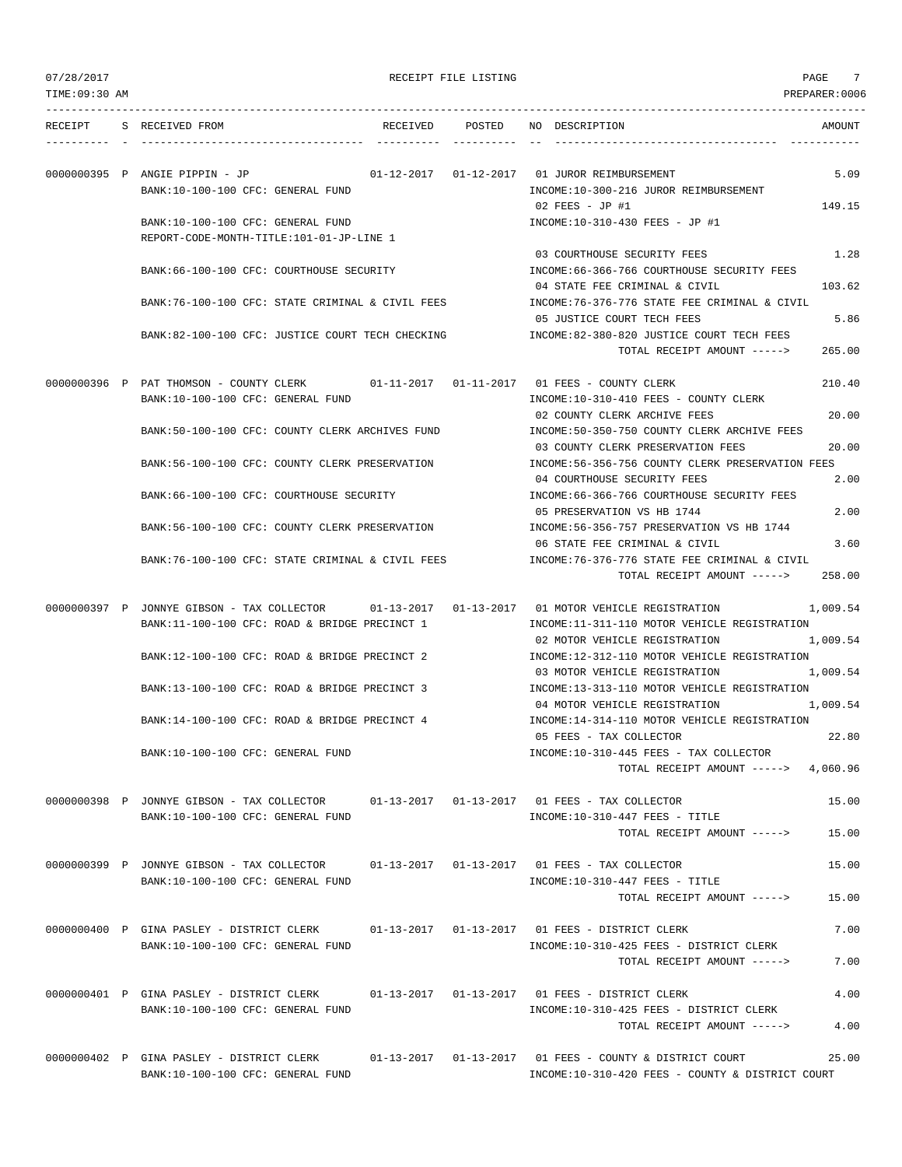| 07/28/2017     |                                                                                                   |                 | RECEIPT FILE LISTING |                                                                                                           | 7<br>PAGE      |
|----------------|---------------------------------------------------------------------------------------------------|-----------------|----------------------|-----------------------------------------------------------------------------------------------------------|----------------|
| TIME: 09:30 AM |                                                                                                   |                 |                      |                                                                                                           | PREPARER:0006  |
| RECEIPT        | S RECEIVED FROM                                                                                   | RECEIVED POSTED |                      | NO DESCRIPTION                                                                                            | AMOUNT         |
|                | 0000000395 P ANGIE PIPPIN - JP                                                                    |                 |                      | 01-12-2017   01-12-2017   01   JUROR REIMBURSEMENT                                                        | 5.09           |
|                | BANK:10-100-100 CFC: GENERAL FUND                                                                 |                 |                      | INCOME:10-300-216 JUROR REIMBURSEMENT<br>02 FEES - JP #1                                                  | 149.15         |
|                | BANK:10-100-100 CFC: GENERAL FUND<br>REPORT-CODE-MONTH-TITLE:101-01-JP-LINE 1                     |                 |                      | INCOME:10-310-430 FEES - JP #1                                                                            |                |
|                | BANK:66-100-100 CFC: COURTHOUSE SECURITY                                                          |                 |                      | 03 COURTHOUSE SECURITY FEES<br>INCOME: 66-366-766 COURTHOUSE SECURITY FEES                                | 1.28           |
|                | BANK:76-100-100 CFC: STATE CRIMINAL & CIVIL FEES                                                  |                 |                      | 04 STATE FEE CRIMINAL & CIVIL<br>INCOME: 76-376-776 STATE FEE CRIMINAL & CIVIL                            | 103.62         |
|                | BANK:82-100-100 CFC: JUSTICE COURT TECH CHECKING                                                  |                 |                      | 05 JUSTICE COURT TECH FEES<br>INCOME:82-380-820 JUSTICE COURT TECH FEES<br>TOTAL RECEIPT AMOUNT ----->    | 5.86<br>265.00 |
|                | 0000000396 P PAT THOMSON - COUNTY CLERK<br>BANK:10-100-100 CFC: GENERAL FUND                      |                 |                      | 01-11-2017   01-11-2017   01   FEES - COUNTY CLERK<br>INCOME:10-310-410 FEES - COUNTY CLERK               | 210.40         |
|                | BANK:50-100-100 CFC: COUNTY CLERK ARCHIVES FUND                                                   |                 |                      | 02 COUNTY CLERK ARCHIVE FEES<br>INCOME:50-350-750 COUNTY CLERK ARCHIVE FEES                               | 20.00          |
|                | BANK:56-100-100 CFC: COUNTY CLERK PRESERVATION                                                    |                 |                      | 03 COUNTY CLERK PRESERVATION FEES<br>INCOME:56-356-756 COUNTY CLERK PRESERVATION FEES                     | 20.00          |
|                | BANK:66-100-100 CFC: COURTHOUSE SECURITY                                                          |                 |                      | 04 COURTHOUSE SECURITY FEES<br>INCOME: 66-366-766 COURTHOUSE SECURITY FEES                                | 2.00           |
|                | BANK:56-100-100 CFC: COUNTY CLERK PRESERVATION                                                    |                 |                      | 05 PRESERVATION VS HB 1744<br>INCOME: 56-356-757 PRESERVATION VS HB 1744<br>06 STATE FEE CRIMINAL & CIVIL | 2.00<br>3.60   |
|                | BANK:76-100-100 CFC: STATE CRIMINAL & CIVIL FEES                                                  |                 |                      | INCOME:76-376-776 STATE FEE CRIMINAL & CIVIL<br>TOTAL RECEIPT AMOUNT ----->                               | 258.00         |
|                | 0000000397 P JONNYE GIBSON - TAX COLLECTOR<br>BANK:11-100-100 CFC: ROAD & BRIDGE PRECINCT 1       |                 |                      | 01-13-2017   01-13-2017   01 MOTOR VEHICLE REGISTRATION<br>INCOME:11-311-110 MOTOR VEHICLE REGISTRATION   | 1,009.54       |
|                | BANK:12-100-100 CFC: ROAD & BRIDGE PRECINCT 2                                                     |                 |                      | 02 MOTOR VEHICLE REGISTRATION<br>INCOME:12-312-110 MOTOR VEHICLE REGISTRATION                             | 1,009.54       |
|                | BANK:13-100-100 CFC: ROAD & BRIDGE PRECINCT 3                                                     |                 |                      | 03 MOTOR VEHICLE REGISTRATION<br>INCOME:13-313-110 MOTOR VEHICLE REGISTRATION                             | 1,009.54       |
|                | BANK:14-100-100 CFC: ROAD & BRIDGE PRECINCT 4                                                     |                 |                      | 04 MOTOR VEHICLE REGISTRATION<br>INCOME:14-314-110 MOTOR VEHICLE REGISTRATION                             | 1,009.54       |
|                | BANK:10-100-100 CFC: GENERAL FUND                                                                 |                 |                      | 05 FEES - TAX COLLECTOR<br>INCOME:10-310-445 FEES - TAX COLLECTOR                                         | 22.80          |
|                |                                                                                                   |                 |                      | TOTAL RECEIPT AMOUNT ----->                                                                               | 4,060.96       |
|                | 0000000398 P JONNYE GIBSON - TAX COLLECTOR<br>BANK:10-100-100 CFC: GENERAL FUND                   |                 |                      | INCOME:10-310-447 FEES - TITLE                                                                            | 15.00          |
|                |                                                                                                   |                 |                      | TOTAL RECEIPT AMOUNT ----->                                                                               | 15.00          |
|                | 0000000399 P JONNYE GIBSON - TAX COLLECTOR<br>BANK:10-100-100 CFC: GENERAL FUND                   |                 |                      | $01-13-2017$ $01-13-2017$ 01 FEES - TAX COLLECTOR<br>INCOME:10-310-447 FEES - TITLE                       | 15.00          |
|                |                                                                                                   |                 |                      | TOTAL RECEIPT AMOUNT ----->                                                                               | 15.00          |
|                | 0000000400 P GINA PASLEY - DISTRICT CLERK<br>BANK:10-100-100 CFC: GENERAL FUND                    |                 |                      | 01-13-2017   01-13-2017   01   FEES - DISTRICT CLERK<br>INCOME:10-310-425 FEES - DISTRICT CLERK           | 7.00           |
|                |                                                                                                   |                 |                      | TOTAL RECEIPT AMOUNT ----->                                                                               | 7.00           |
|                | 0000000401 P GINA PASLEY - DISTRICT CLERK<br>BANK:10-100-100 CFC: GENERAL FUND                    |                 |                      | INCOME:10-310-425 FEES - DISTRICT CLERK                                                                   | 4.00           |
|                |                                                                                                   |                 |                      | TOTAL RECEIPT AMOUNT ----->                                                                               | 4.00           |
|                | 0000000402 P GINA PASLEY - DISTRICT CLERK 01-13-2017 01-13-2017 01 FEES - COUNTY & DISTRICT COURT |                 |                      |                                                                                                           | 25.00          |

BANK:10-100-100 CFC: GENERAL FUND INCOME:10-310-420 FEES - COUNTY & DISTRICT COURT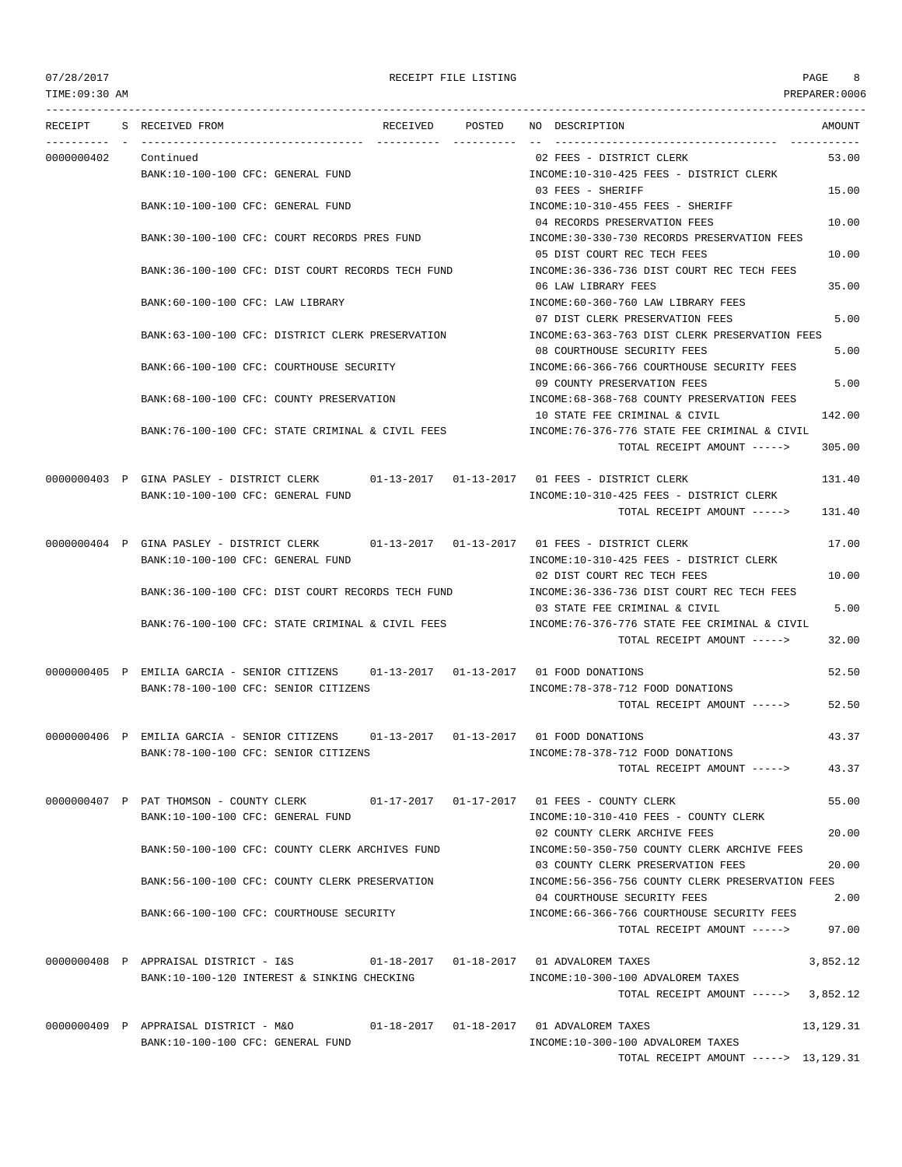TOTAL RECEIPT AMOUNT -----> 13,129.31

TIME:09:30 AM PREPARER:0006 --------------------------------------------------------------------------------------------------------------------------------- RECEIPT S RECEIVED FROM THE RECEIVED POSTED NO DESCRIPTION THE RECEIVED AMOUNT ---------- - ----------------------------------- ---------- ---------- -- ----------------------------------- ----------- 0000000402 Continued 02 FEES - DISTRICT CLERK 53.00 BANK:10-100-100 CFC: GENERAL FUND **INCOME:10-310-425 FEES - DISTRICT CLERK** 03 FEES - SHERIFF 15.00 BANK:10-100-100 CFC: GENERAL FUND INCOME:10-310-455 FEES - SHERIFF 04 RECORDS PRESERVATION FEES 10.00 BANK:30-100-100 CFC: COURT RECORDS PRES FUND INCOME:30-330-730 RECORDS PRESERVATION FEES 05 DIST COURT REC TECH FEES 10.00 BANK:36-100-100 CFC: DIST COURT RECORDS TECH FUND INCOME:36-336-736 DIST COURT REC TECH FEES 06 LAW LIBRARY FEES 35.00 BANK:60-100-100 CFC: LAW LIBRARY INCOME:60-360-760 LAW LIBRARY FEES 07 DIST CLERK PRESERVATION FEES 5.00 BANK:63-100-100 CFC: DISTRICT CLERK PRESERVATION INCOME:63-363-763 DIST CLERK PRESERVATION FEES 08 COURTHOUSE SECURITY FEES 5.00 BANK:66-100-100 CFC: COURTHOUSE SECURITY INCOME:66-366-766 COURTHOUSE SECURITY FEES 09 COUNTY PRESERVATION FEES 5.00 BANK:68-100-100 CFC: COUNTY PRESERVATION INCOME:68-368-768 COUNTY PRESERVATION FEES 10 STATE FEE CRIMINAL & CIVIL 142.00 BANK:76-100-100 CFC: STATE CRIMINAL & CIVIL FEES INCOME:76-376-776 STATE FEE CRIMINAL & CIVIL TOTAL RECEIPT AMOUNT -----> 305.00 0000000403 P GINA PASLEY - DISTRICT CLERK 01-13-2017 01-13-2017 01 FEES - DISTRICT CLERK 131.40 BANK:10-100-100 CFC: GENERAL FUND INCOME:10-310-425 FEES - DISTRICT CLERK TOTAL RECEIPT AMOUNT -----> 131.40 0000000404 P GINA PASLEY - DISTRICT CLERK 01-13-2017 01-13-2017 01 FEES - DISTRICT CLERK 17.00 BANK:10-100-100 CFC: GENERAL FUND INCOME:10-310-425 FEES - DISTRICT CLERK 02 DIST COURT REC TECH FEES 10.00 BANK:36-100-100 CFC: DIST COURT RECORDS TECH FUND INCOME:36-336-736 DIST COURT REC TECH FEES 03 STATE FEE CRIMINAL & CIVIL 5.00 BANK:76-100-100 CFC: STATE CRIMINAL & CIVIL FEES INCOME:76-376-776 STATE FEE CRIMINAL & CIVIL TOTAL RECEIPT AMOUNT -----> 32.00 0000000405 P EMILIA GARCIA - SENIOR CITIZENS 01-13-2017 01-13-2017 01 FOOD DONATIONS 52.50 BANK:78-100-100 CFC: SENIOR CITIZENS INCOME:78-378-712 FOOD DONATIONS TOTAL RECEIPT AMOUNT -----> 52.50 0000000406 P EMILIA GARCIA - SENIOR CITIZENS 01-13-2017 01-13-2017 01 FOOD DONATIONS 43.37 BANK:78-100-100 CFC: SENIOR CITIZENS INCOME:78-378-712 FOOD DONATIONS TOTAL RECEIPT AMOUNT -----> 43.37 0000000407 P PAT THOMSON - COUNTY CLERK 01-17-2017 01-17-2017 01 FEES - COUNTY CLERK 55.00 BANK:10-100-100 CFC: GENERAL FUND INCOME:10-310-410 FEES - COUNTY CLERK 02 COUNTY CLERK ARCHIVE FEES 20.00 BANK:50-100-100 CFC: COUNTY CLERK ARCHIVES FUND INCOME:50-350-750 COUNTY CLERK ARCHIVE FEES 03 COUNTY CLERK PRESERVATION FEES 20.00 BANK:56-100-100 CFC: COUNTY CLERK PRESERVATION INCOME:56-356-756 COUNTY CLERK PRESERVATION FEES 04 COURTHOUSE SECURITY FEES 2.00 BANK:66-100-100 CFC: COURTHOUSE SECURITY **INCOME:66-366-766 COURTHOUSE SECURITY FEES** TOTAL RECEIPT AMOUNT -----> 97.00 0000000408 P APPRAISAL DISTRICT - I&S 01-18-2017 01-18-2017 01 ADVALOREM TAXES 3,852.12 BANK:10-100-120 INTEREST & SINKING CHECKING INCOME:10-300-100 ADVALOREM TAXES TOTAL RECEIPT AMOUNT -----> 3,852.12 0000000409 P APPRAISAL DISTRICT - M&O 01-18-2017 01-18-2017 01 ADVALOREM TAXES 13,129.31 BANK:10-100-100 CFC: GENERAL FUND INCOME:10-300-100 ADVALOREM TAXES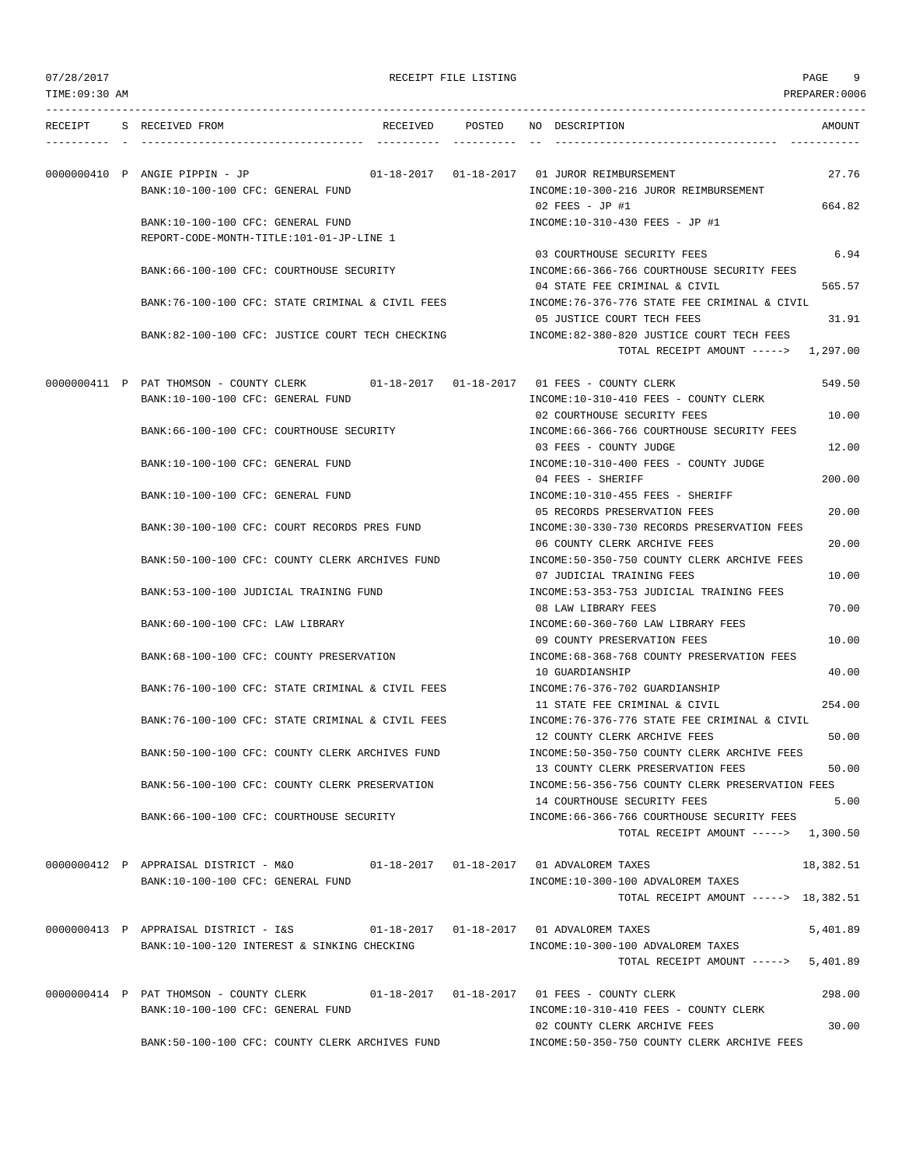| TIME:09:30 AM |                                                                                                                               |                 | PREPARER:0006                                                                                                          |
|---------------|-------------------------------------------------------------------------------------------------------------------------------|-----------------|------------------------------------------------------------------------------------------------------------------------|
| RECEIPT       | S RECEIVED FROM                                                                                                               | RECEIVED POSTED | NO DESCRIPTION<br>AMOUNT                                                                                               |
|               | 0000000410 P ANGIE PIPPIN - JP                                                                                                |                 | 01-18-2017   01-18-2017   01   JUROR REIMBURSEMENT<br>27.76                                                            |
|               | BANK:10-100-100 CFC: GENERAL FUND                                                                                             |                 | INCOME:10-300-216 JUROR REIMBURSEMENT<br>02 FEES - JP #1<br>664.82                                                     |
|               | BANK:10-100-100 CFC: GENERAL FUND<br>REPORT-CODE-MONTH-TITLE:101-01-JP-LINE 1                                                 |                 | INCOME:10-310-430 FEES - JP #1                                                                                         |
|               | BANK:66-100-100 CFC: COURTHOUSE SECURITY                                                                                      |                 | 03 COURTHOUSE SECURITY FEES<br>6.94<br>INCOME:66-366-766 COURTHOUSE SECURITY FEES                                      |
|               | BANK:76-100-100 CFC: STATE CRIMINAL & CIVIL FEES                                                                              |                 | 04 STATE FEE CRIMINAL & CIVIL<br>565.57<br>INCOME: 76-376-776 STATE FEE CRIMINAL & CIVIL                               |
|               | BANK:82-100-100 CFC: JUSTICE COURT TECH CHECKING                                                                              |                 | 05 JUSTICE COURT TECH FEES<br>31.91<br>INCOME:82-380-820 JUSTICE COURT TECH FEES                                       |
|               |                                                                                                                               |                 | TOTAL RECEIPT AMOUNT -----> 1,297.00                                                                                   |
|               | 0000000411 P PAT THOMSON - COUNTY CLERK 01-18-2017 01-18-2017 01 FEES - COUNTY CLERK<br>BANK:10-100-100 CFC: GENERAL FUND     |                 | 549.50<br>INCOME:10-310-410 FEES - COUNTY CLERK                                                                        |
|               | BANK:66-100-100 CFC: COURTHOUSE SECURITY                                                                                      |                 | 02 COURTHOUSE SECURITY FEES<br>10.00<br>INCOME: 66-366-766 COURTHOUSE SECURITY FEES<br>03 FEES - COUNTY JUDGE<br>12.00 |
|               | BANK:10-100-100 CFC: GENERAL FUND                                                                                             |                 | INCOME:10-310-400 FEES - COUNTY JUDGE<br>200.00<br>04 FEES - SHERIFF                                                   |
|               | BANK:10-100-100 CFC: GENERAL FUND                                                                                             |                 | INCOME:10-310-455 FEES - SHERIFF<br>05 RECORDS PRESERVATION FEES<br>20.00                                              |
|               | BANK:30-100-100 CFC: COURT RECORDS PRES FUND                                                                                  |                 | INCOME: 30-330-730 RECORDS PRESERVATION FEES<br>20.00<br>06 COUNTY CLERK ARCHIVE FEES                                  |
|               | BANK:50-100-100 CFC: COUNTY CLERK ARCHIVES FUND                                                                               |                 | INCOME:50-350-750 COUNTY CLERK ARCHIVE FEES<br>07 JUDICIAL TRAINING FEES<br>10.00                                      |
|               | BANK:53-100-100 JUDICIAL TRAINING FUND                                                                                        |                 | INCOME: 53-353-753 JUDICIAL TRAINING FEES<br>08 LAW LIBRARY FEES<br>70.00                                              |
|               | BANK:60-100-100 CFC: LAW LIBRARY                                                                                              |                 | INCOME:60-360-760 LAW LIBRARY FEES<br>09 COUNTY PRESERVATION FEES<br>10.00                                             |
|               | BANK: 68-100-100 CFC: COUNTY PRESERVATION<br>BANK:76-100-100 CFC: STATE CRIMINAL & CIVIL FEES                                 |                 | INCOME: 68-368-768 COUNTY PRESERVATION FEES<br>10 GUARDIANSHIP<br>40.00<br>INCOME: 76-376-702 GUARDIANSHIP             |
|               | BANK:76-100-100 CFC: STATE CRIMINAL & CIVIL FEES                                                                              |                 | 254.00<br>11 STATE FEE CRIMINAL & CIVIL<br>INCOME: 76-376-776 STATE FEE CRIMINAL & CIVIL                               |
|               | BANK:50-100-100 CFC: COUNTY CLERK ARCHIVES FUND                                                                               |                 | 12 COUNTY CLERK ARCHIVE FEES<br>50.00<br>INCOME: 50-350-750 COUNTY CLERK ARCHIVE FEES                                  |
|               | BANK:56-100-100 CFC: COUNTY CLERK PRESERVATION                                                                                |                 | 13 COUNTY CLERK PRESERVATION FEES<br>50.00<br>INCOME:56-356-756 COUNTY CLERK PRESERVATION FEES                         |
|               | BANK:66-100-100 CFC: COURTHOUSE SECURITY                                                                                      |                 | 14 COURTHOUSE SECURITY FEES<br>5.00<br>INCOME: 66-366-766 COURTHOUSE SECURITY FEES                                     |
|               |                                                                                                                               |                 | TOTAL RECEIPT AMOUNT -----> 1,300.50                                                                                   |
|               | 0000000412 P APPRAISAL DISTRICT - M&O $01-18-2017$ 01-18-2017 01 ADVALOREM TAXES<br>BANK:10-100-100 CFC: GENERAL FUND         |                 | 18,382.51<br>INCOME:10-300-100 ADVALOREM TAXES<br>TOTAL RECEIPT AMOUNT -----> 18,382.51                                |
|               | 0000000413 P APPRAISAL DISTRICT - I&S 01-18-2017 01-18-2017 01 ADVALOREM TAXES<br>BANK:10-100-120 INTEREST & SINKING CHECKING |                 | 5,401.89<br>INCOME:10-300-100 ADVALOREM TAXES<br>5,401.89<br>TOTAL RECEIPT AMOUNT ----->                               |
|               |                                                                                                                               |                 |                                                                                                                        |
|               | 0000000414 P PAT THOMSON - COUNTY CLERK 01-18-2017 01-18-2017 01 FEES - COUNTY CLERK<br>BANK:10-100-100 CFC: GENERAL FUND     |                 | 298.00<br>INCOME:10-310-410 FEES - COUNTY CLERK<br>02 COUNTY CLERK ARCHIVE FEES<br>30.00                               |
|               | BANK:50-100-100 CFC: COUNTY CLERK ARCHIVES FUND                                                                               |                 | INCOME: 50-350-750 COUNTY CLERK ARCHIVE FEES                                                                           |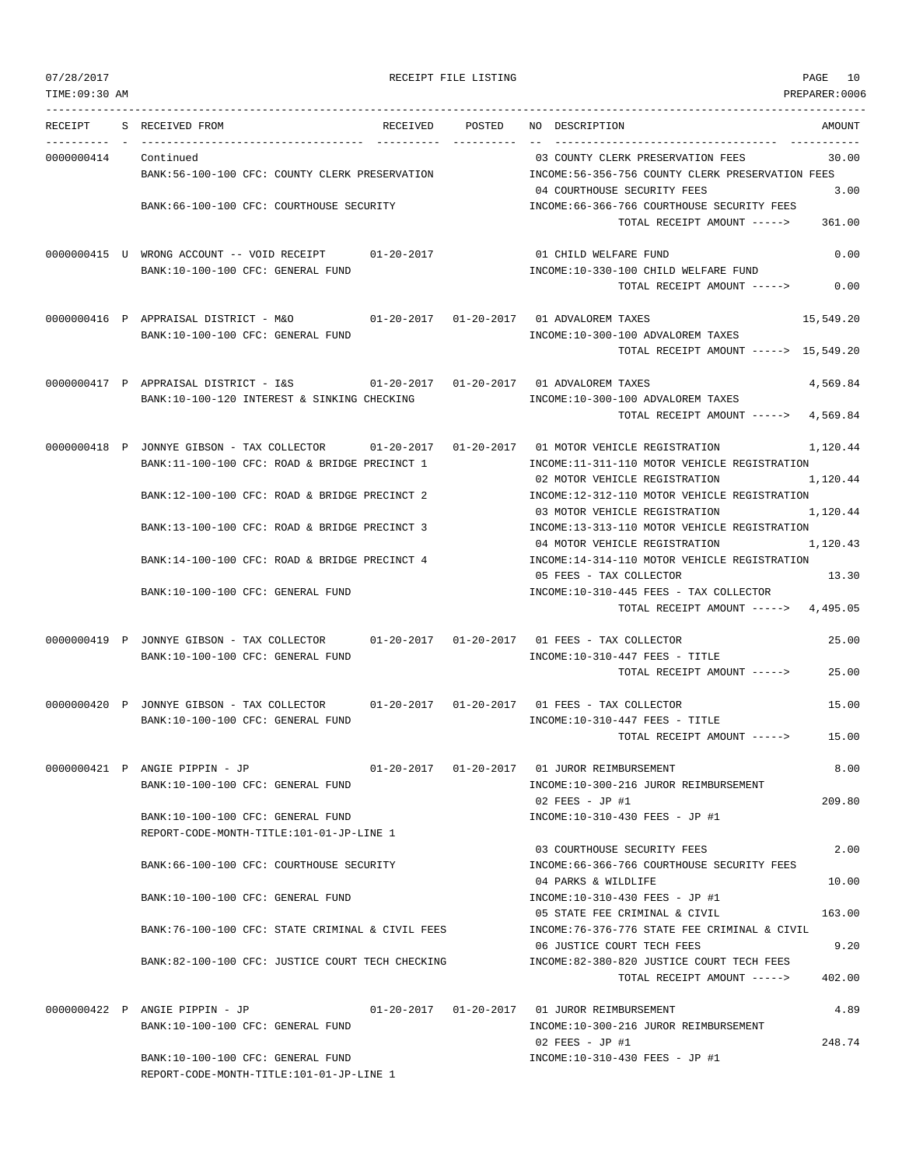|  | 07/28/2017 |  |
|--|------------|--|

RECEIPT FILE LISTING **PAGE** 10

TIME:09:30 AM PREPARER:0006 --------------------------------------------------------------------------------------------------------------------------------- RECEIPT S RECEIVED FROM THE RECEIVED POSTED NO DESCRIPTION THE RECEIVED AMOUNT ---------- - ----------------------------------- ---------- ---------- -- ----------------------------------- ----------- 0000000414 Continued 03 COUNTY CLERK PRESERVATION FEES 30.00 BANK:56-100-100 CFC: COUNTY CLERK PRESERVATION INCOME:56-356-756 COUNTY CLERK PRESERVATION FEES 04 COURTHOUSE SECURITY FEES 3.00 BANK:66-100-100 CFC: COURTHOUSE SECURITY INCOME:66-366-766 COURTHOUSE SECURITY FEES TOTAL RECEIPT AMOUNT -----> 361.00 0000000415 U WRONG ACCOUNT -- VOID RECEIPT 01-20-2017 01 CHILD WELFARE FUND 0.00 BANK:10-100-100 CFC: GENERAL FUND INCOME:10-330-100 CHILD WELFARE FUND TOTAL RECEIPT AMOUNT -----> 0.00 0000000416 P APPRAISAL DISTRICT - M&O 01-20-2017 01-20-2017 01 ADVALOREM TAXES 15,549.20 BANK:10-100-100 CFC: GENERAL FUND INCOME:10-300-100 ADVALOREM TAXES TOTAL RECEIPT AMOUNT -----> 15,549.20 0000000417 P APPRAISAL DISTRICT - I&S 01-20-2017 01-20-2017 01 ADVALOREM TAXES 4,569.84 BANK:10-100-120 INTEREST & SINKING CHECKING INCOME:10-300-100 ADVALOREM TAXES TOTAL RECEIPT AMOUNT -----> 4,569.84

0000000418 P JONNYE GIBSON - TAX COLLECTOR 01-20-2017 01-20-2017 01 MOTOR VEHICLE REGISTRATION 1,120.44 BANK:11-100-100 CFC: ROAD & BRIDGE PRECINCT 1 INCOME:11-311-110 MOTOR VEHICLE REGISTRATION 02 MOTOR VEHICLE REGISTRATION 1,120.44 BANK:12-100-100 CFC: ROAD & BRIDGE PRECINCT 2 INCOME:12-312-110 MOTOR VEHICLE REGISTRATION 03 MOTOR VEHICLE REGISTRATION 1,120.44 BANK:13-100-100 CFC: ROAD & BRIDGE PRECINCT 3 INCOME:13-313-110 MOTOR VEHICLE REGISTRATION 04 MOTOR VEHICLE REGISTRATION 1,120.43 BANK:14-100-100 CFC: ROAD & BRIDGE PRECINCT 4 INCOME:14-314-110 MOTOR VEHICLE REGISTRATION 05 FEES - TAX COLLECTOR 13.30 BANK:10-100-100 CFC: GENERAL FUND INCOME:10-310-445 FEES - TAX COLLECTOR TOTAL RECEIPT AMOUNT -----> 4,495.05

0000000419 P JONNYE GIBSON - TAX COLLECTOR 01-20-2017 01-20-2017 01 FEES - TAX COLLECTOR 25.00 BANK:10-100-100 CFC: GENERAL FUND INCOME:10-310-447 FEES - TITLE TOTAL RECEIPT AMOUNT -----> 25.00

0000000420 P JONNYE GIBSON - TAX COLLECTOR 01-20-2017 01-20-2017 01 FEES - TAX COLLECTOR 15.00 BANK:10-100-100 CFC: GENERAL FUND **INCOME:10-310-447 FEES** - TITLE TOTAL RECEIPT AMOUNT -----> 15.00

0000000421 P ANGIE PIPPIN - JP 01-20-2017 01-20-2017 01 JUROR REIMBURSEMENT 8.00 BANK:10-100-100 CFC: GENERAL FUND INCOME:10-300-216 JUROR REIMBURSEMENT 02 FEES - JP #1 209.80 BANK:10-100-100 CFC: GENERAL FUND INCOME:10-310-430 FEES - JP #1 REPORT-CODE-MONTH-TITLE:101-01-JP-LINE 1 03 COURTHOUSE SECURITY FEES 2.00 BANK:66-100-100 CFC: COURTHOUSE SECURITY INCOME:66-366-766 COURTHOUSE SECURITY FEES 04 PARKS & WILDLIFE 10.00 BANK:10-100-100 CFC: GENERAL FUND INCOME:10-310-430 FEES - JP #1 05 STATE FEE CRIMINAL & CIVIL 163.00

BANK:76-100-100 CFC: STATE CRIMINAL & CIVIL FEES INCOME:76-376-776 STATE FEE CRIMINAL & CIVIL 06 JUSTICE COURT TECH FEES 9.20 BANK:82-100-100 CFC: JUSTICE COURT TECH CHECKING INCOME:82-380-820 JUSTICE COURT TECH FEES TOTAL RECEIPT AMOUNT -----> 402.00

0000000422 P ANGIE PIPPIN - JP 01-20-2017 01-20-2017 01 JUROR REIMBURSEMENT 4.89 BANK:10-100-100 CFC: GENERAL FUND INCOME:10-300-216 JUROR REIMBURSEMENT 02 FEES - JP #1 248.74 BANK:10-100-100 CFC: GENERAL FUND INCOME:10-310-430 FEES - JP #1 REPORT-CODE-MONTH-TITLE:101-01-JP-LINE 1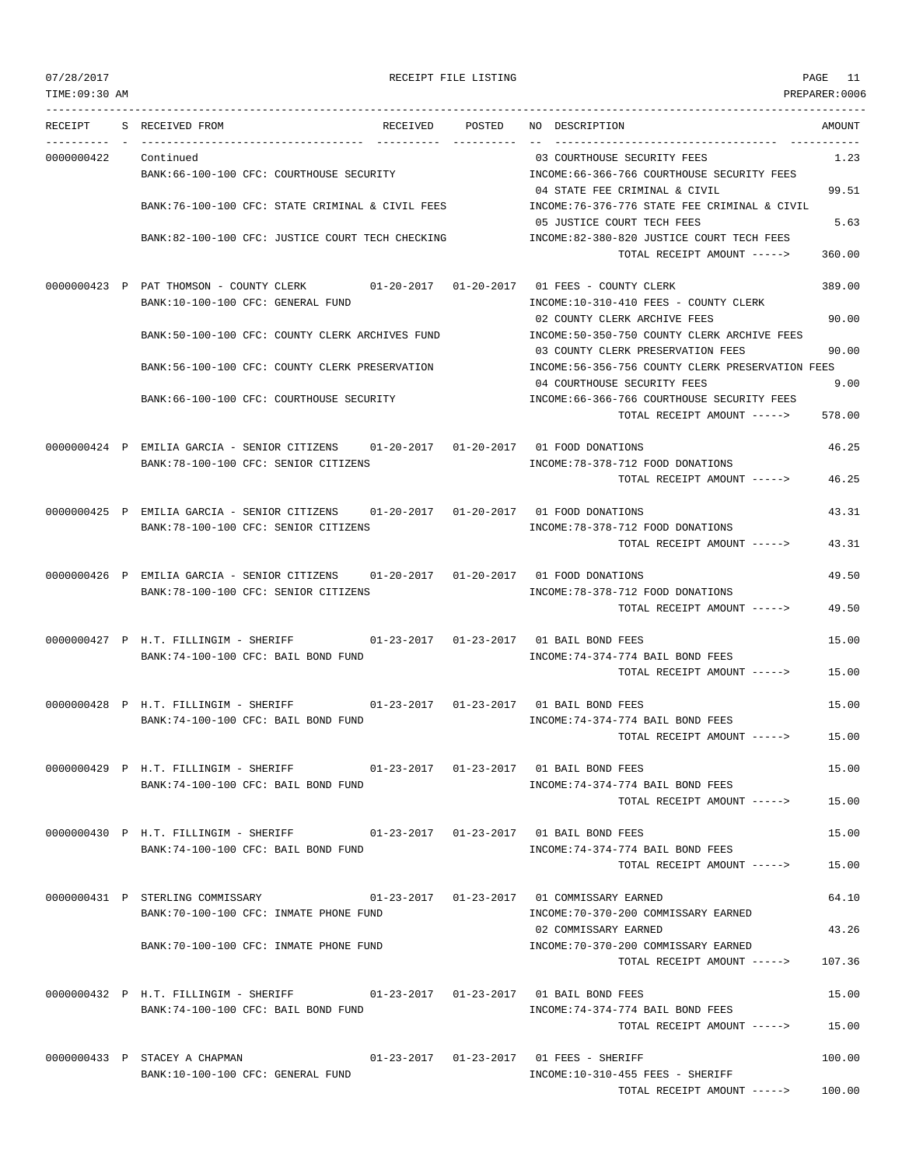| TIME:09:30 AM |                                                                                                                               |        |                                                                                                           | PREPARER:0006   |
|---------------|-------------------------------------------------------------------------------------------------------------------------------|--------|-----------------------------------------------------------------------------------------------------------|-----------------|
| RECEIPT       | S RECEIVED FROM<br>RECEIVED                                                                                                   | POSTED | NO DESCRIPTION                                                                                            | AMOUNT          |
| 0000000422    | Continued<br>BANK:66-100-100 CFC: COURTHOUSE SECURITY                                                                         |        | 03 COURTHOUSE SECURITY FEES<br>INCOME: 66-366-766 COURTHOUSE SECURITY FEES                                | 1.23            |
|               | BANK:76-100-100 CFC: STATE CRIMINAL & CIVIL FEES                                                                              |        | 04 STATE FEE CRIMINAL & CIVIL<br>INCOME: 76-376-776 STATE FEE CRIMINAL & CIVIL                            | 99.51           |
|               | BANK:82-100-100 CFC: JUSTICE COURT TECH CHECKING                                                                              |        | 05 JUSTICE COURT TECH FEES<br>INCOME:82-380-820 JUSTICE COURT TECH FEES<br>TOTAL RECEIPT AMOUNT ----->    | 5.63<br>360.00  |
|               | 0000000423 P PAT THOMSON - COUNTY CLERK 01-20-2017 01-20-2017 01 FEES - COUNTY CLERK<br>BANK:10-100-100 CFC: GENERAL FUND     |        | INCOME:10-310-410 FEES - COUNTY CLERK                                                                     | 389.00          |
|               | BANK:50-100-100 CFC: COUNTY CLERK ARCHIVES FUND                                                                               |        | 02 COUNTY CLERK ARCHIVE FEES<br>INCOME:50-350-750 COUNTY CLERK ARCHIVE FEES                               | 90.00           |
|               | BANK:56-100-100 CFC: COUNTY CLERK PRESERVATION                                                                                |        | 03 COUNTY CLERK PRESERVATION FEES<br>INCOME:56-356-756 COUNTY CLERK PRESERVATION FEES                     | 90.00           |
|               | BANK:66-100-100 CFC: COURTHOUSE SECURITY                                                                                      |        | 04 COURTHOUSE SECURITY FEES<br>INCOME: 66-366-766 COURTHOUSE SECURITY FEES<br>TOTAL RECEIPT AMOUNT -----> | 9.00<br>578.00  |
|               | 0000000424 P EMILIA GARCIA - SENIOR CITIZENS 01-20-2017 01-20-2017 01 FOOD DONATIONS<br>BANK:78-100-100 CFC: SENIOR CITIZENS  |        | INCOME: 78-378-712 FOOD DONATIONS<br>TOTAL RECEIPT AMOUNT ----->                                          | 46.25<br>46.25  |
|               | 0000000425 P EMILIA GARCIA - SENIOR CITIZENS 01-20-2017 01-20-2017 01 FOOD DONATIONS                                          |        |                                                                                                           | 43.31           |
|               | BANK:78-100-100 CFC: SENIOR CITIZENS                                                                                          |        | INCOME: 78-378-712 FOOD DONATIONS<br>TOTAL RECEIPT AMOUNT ----->                                          | 43.31           |
|               | 0000000426 P EMILIA GARCIA - SENIOR CITIZENS 01-20-2017 01-20-2017 01 FOOD DONATIONS<br>BANK: 78-100-100 CFC: SENIOR CITIZENS |        | INCOME: 78-378-712 FOOD DONATIONS<br>TOTAL RECEIPT AMOUNT ----->                                          | 49.50<br>49.50  |
|               | 0000000427 P H.T. FILLINGIM - SHERIFF 01-23-2017 01-23-2017 01 BAIL BOND FEES                                                 |        | INCOME: 74-374-774 BAIL BOND FEES                                                                         | 15.00           |
|               | BANK:74-100-100 CFC: BAIL BOND FUND                                                                                           |        | TOTAL RECEIPT AMOUNT ----->                                                                               | 15.00           |
|               | 0000000428 P H.T. FILLINGIM - SHERIFF<br>BANK:74-100-100 CFC: BAIL BOND FUND                                                  |        | INCOME: 74-374-774 BAIL BOND FEES<br>TOTAL RECEIPT AMOUNT ----->                                          | 15.00<br>15.00  |
|               | 0000000429 P H.T. FILLINGIM - SHERIFF 01-23-2017 01-23-2017 01 BAIL BOND FEES                                                 |        |                                                                                                           | 15.00           |
|               | BANK:74-100-100 CFC: BAIL BOND FUND                                                                                           |        | INCOME: 74-374-774 BAIL BOND FEES<br>TOTAL RECEIPT AMOUNT ----->                                          | 15.00           |
|               | 0000000430 P H.T. FILLINGIM - SHERIFF 01-23-2017 01-23-2017 01 BAIL BOND FEES                                                 |        |                                                                                                           | 15.00           |
|               | BANK:74-100-100 CFC: BAIL BOND FUND                                                                                           |        | INCOME: 74-374-774 BAIL BOND FEES<br>TOTAL RECEIPT AMOUNT ----->                                          | 15.00           |
|               | 0000000431 P STERLING COMMISSARY 01-23-2017 01-23-2017 01 COMMISSARY EARNED<br>BANK:70-100-100 CFC: INMATE PHONE FUND         |        | INCOME: 70-370-200 COMMISSARY EARNED                                                                      | 64.10           |
|               | BANK: 70-100-100 CFC: INMATE PHONE FUND                                                                                       |        | 02 COMMISSARY EARNED<br>INCOME: 70-370-200 COMMISSARY EARNED<br>TOTAL RECEIPT AMOUNT ----->               | 43.26<br>107.36 |
|               | 0000000432 P H.T. FILLINGIM - SHERIFF 01-23-2017 01-23-2017 01 BAIL BOND FEES<br>BANK:74-100-100 CFC: BAIL BOND FUND          |        | INCOME: 74-374-774 BAIL BOND FEES                                                                         | 15.00           |
|               |                                                                                                                               |        | TOTAL RECEIPT AMOUNT ----->                                                                               | 15.00           |
|               | 0000000433 P STACEY A CHAPMAN $01-23-2017$ $01-23-2017$ $01$ FEES - SHERIFF<br>BANK:10-100-100 CFC: GENERAL FUND              |        | INCOME:10-310-455 FEES - SHERIFF                                                                          | 100.00          |
|               |                                                                                                                               |        | TOTAL RECEIPT AMOUNT -----> 100.00                                                                        |                 |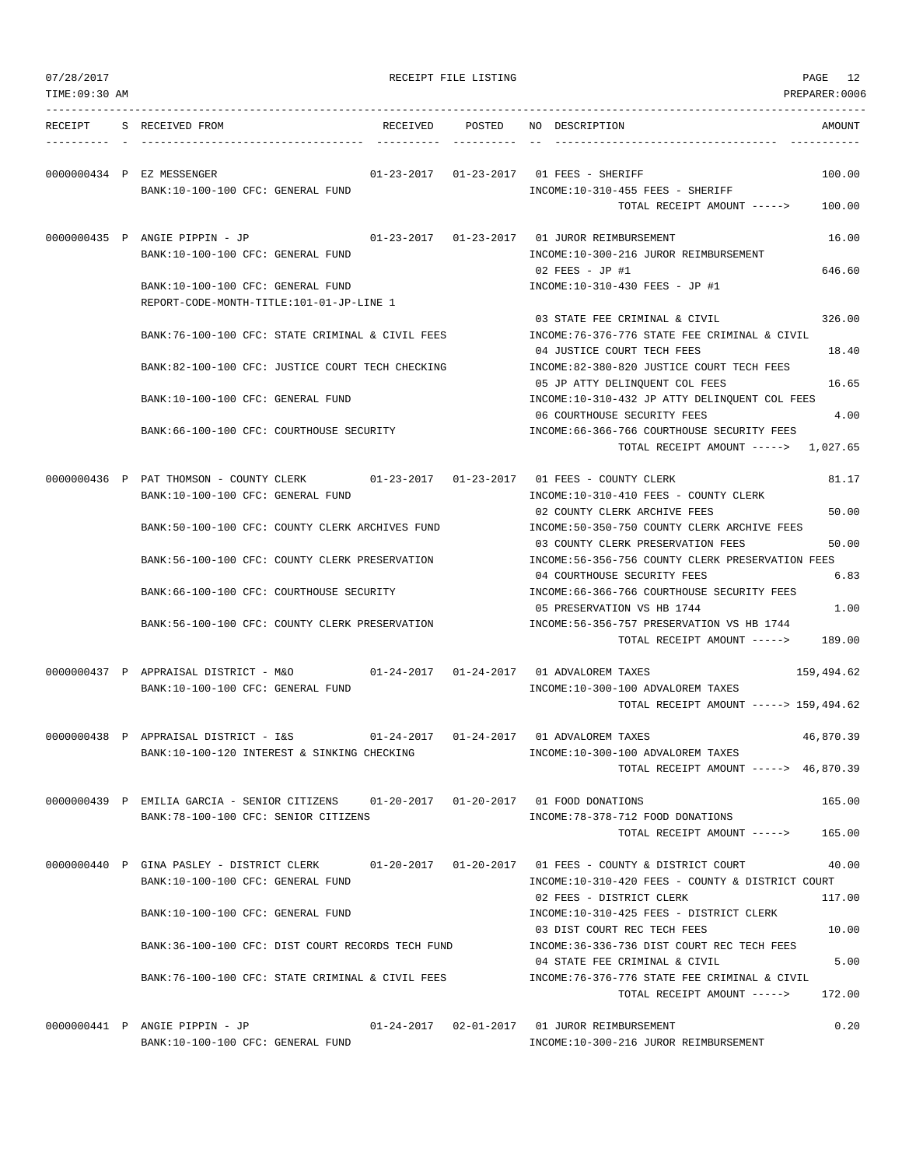| 07/28/2017<br>TIME: 09:30 AM |                                                                                                                                        | RECEIPT FILE LISTING |        |                                                                                                                                | PAGE<br>12<br>PREPARER:0006 |
|------------------------------|----------------------------------------------------------------------------------------------------------------------------------------|----------------------|--------|--------------------------------------------------------------------------------------------------------------------------------|-----------------------------|
| RECEIPT                      | S RECEIVED FROM                                                                                                                        | RECEIVED             | POSTED | NO DESCRIPTION                                                                                                                 | AMOUNT                      |
|                              | 0000000434 P EZ MESSENGER<br>BANK:10-100-100 CFC: GENERAL FUND                                                                         |                      |        | 01-23-2017  01-23-2017  01 FEES - SHERIFF<br>INCOME:10-310-455 FEES - SHERIFF                                                  | 100.00                      |
|                              |                                                                                                                                        |                      |        | TOTAL RECEIPT AMOUNT ----->                                                                                                    | 100.00                      |
|                              | 0000000435 P ANGIE PIPPIN - JP<br>BANK:10-100-100 CFC: GENERAL FUND                                                                    |                      |        | 01-23-2017   01-23-2017   01   JUROR REIMBURSEMENT<br>INCOME:10-300-216 JUROR REIMBURSEMENT<br>$02$ FEES - JP #1               | 16.00                       |
|                              | BANK:10-100-100 CFC: GENERAL FUND<br>REPORT-CODE-MONTH-TITLE:101-01-JP-LINE 1                                                          |                      |        | INCOME:10-310-430 FEES - JP #1                                                                                                 | 646.60                      |
|                              | BANK:76-100-100 CFC: STATE CRIMINAL & CIVIL FEES                                                                                       |                      |        | 03 STATE FEE CRIMINAL & CIVIL<br>INCOME: 76-376-776 STATE FEE CRIMINAL & CIVIL                                                 | 326.00                      |
|                              | BANK:82-100-100 CFC: JUSTICE COURT TECH CHECKING                                                                                       |                      |        | 04 JUSTICE COURT TECH FEES<br>INCOME:82-380-820 JUSTICE COURT TECH FEES<br>05 JP ATTY DELINQUENT COL FEES                      | 18.40<br>16.65              |
|                              | BANK:10-100-100 CFC: GENERAL FUND                                                                                                      |                      |        | INCOME:10-310-432 JP ATTY DELINQUENT COL FEES<br>06 COURTHOUSE SECURITY FEES                                                   | 4.00                        |
|                              | BANK:66-100-100 CFC: COURTHOUSE SECURITY                                                                                               |                      |        | INCOME:66-366-766 COURTHOUSE SECURITY FEES<br>TOTAL RECEIPT AMOUNT -----> 1,027.65                                             |                             |
|                              | 0000000436 P PAT THOMSON - COUNTY CLERK                                                                                                |                      |        |                                                                                                                                | 81.17                       |
|                              | BANK:10-100-100 CFC: GENERAL FUND                                                                                                      |                      |        | INCOME:10-310-410 FEES - COUNTY CLERK<br>02 COUNTY CLERK ARCHIVE FEES                                                          | 50.00                       |
|                              | BANK:50-100-100 CFC: COUNTY CLERK ARCHIVES FUND                                                                                        |                      |        | INCOME:50-350-750 COUNTY CLERK ARCHIVE FEES<br>03 COUNTY CLERK PRESERVATION FEES                                               | 50.00                       |
|                              | BANK:56-100-100 CFC: COUNTY CLERK PRESERVATION<br>BANK:66-100-100 CFC: COURTHOUSE SECURITY                                             |                      |        | INCOME:56-356-756 COUNTY CLERK PRESERVATION FEES<br>04 COURTHOUSE SECURITY FEES<br>INCOME: 66-366-766 COURTHOUSE SECURITY FEES | 6.83                        |
|                              | BANK:56-100-100 CFC: COUNTY CLERK PRESERVATION                                                                                         |                      |        | 05 PRESERVATION VS HB 1744<br>INCOME: 56-356-757 PRESERVATION VS HB 1744                                                       | 1.00                        |
|                              |                                                                                                                                        |                      |        | TOTAL RECEIPT AMOUNT ----->                                                                                                    | 189.00                      |
|                              | 0000000437 P APPRAISAL DISTRICT - M&O $01-24-2017$ 01-24-2017 01 ADVALOREM TAXES<br>BANK:10-100-100 CFC: GENERAL FUND                  |                      |        | INCOME:10-300-100 ADVALOREM TAXES                                                                                              | 159,494.62                  |
|                              |                                                                                                                                        |                      |        | TOTAL RECEIPT AMOUNT -----> 159,494.62                                                                                         |                             |
|                              | 0000000438 P APPRAISAL DISTRICT - I&S<br>BANK:10-100-120 INTEREST & SINKING CHECKING                                                   |                      |        | 01-24-2017   01-24-2017   01 ADVALOREM TAXES<br>INCOME:10-300-100 ADVALOREM TAXES<br>TOTAL RECEIPT AMOUNT -----> 46,870.39     | 46,870.39                   |
|                              | 0000000439 P EMILIA GARCIA - SENIOR CITIZENS 01-20-2017 01-20-2017 01 FOOD DONATIONS                                                   |                      |        |                                                                                                                                | 165.00                      |
|                              | BANK: 78-100-100 CFC: SENIOR CITIZENS                                                                                                  |                      |        | INCOME: 78-378-712 FOOD DONATIONS<br>TOTAL RECEIPT AMOUNT ----->                                                               | 165.00                      |
|                              | 0000000440 P GINA PASLEY - DISTRICT CLERK 01-20-2017 01-20-2017 01 FEES - COUNTY & DISTRICT COURT<br>BANK:10-100-100 CFC: GENERAL FUND |                      |        | INCOME:10-310-420 FEES - COUNTY & DISTRICT COURT                                                                               | 40.00                       |
|                              | BANK:10-100-100 CFC: GENERAL FUND                                                                                                      |                      |        | 02 FEES - DISTRICT CLERK<br>INCOME:10-310-425 FEES - DISTRICT CLERK                                                            | 117.00                      |
|                              | BANK:36-100-100 CFC: DIST COURT RECORDS TECH FUND                                                                                      |                      |        | 03 DIST COURT REC TECH FEES<br>INCOME: 36-336-736 DIST COURT REC TECH FEES                                                     | 10.00                       |
|                              | BANK:76-100-100 CFC: STATE CRIMINAL & CIVIL FEES                                                                                       |                      |        | 04 STATE FEE CRIMINAL & CIVIL<br>INCOME: 76-376-776 STATE FEE CRIMINAL & CIVIL                                                 | 5.00                        |
|                              |                                                                                                                                        |                      |        | TOTAL RECEIPT AMOUNT ----->                                                                                                    | 172.00                      |
|                              | 0000000441 P ANGIE PIPPIN - JP                                                                                                         |                      |        | 01-24-2017   02-01-2017   01   JUROR REIMBURSEMENT                                                                             | 0.20                        |

BANK:10-100-100 CFC: GENERAL FUND INCOME:10-300-216 JUROR REIMBURSEMENT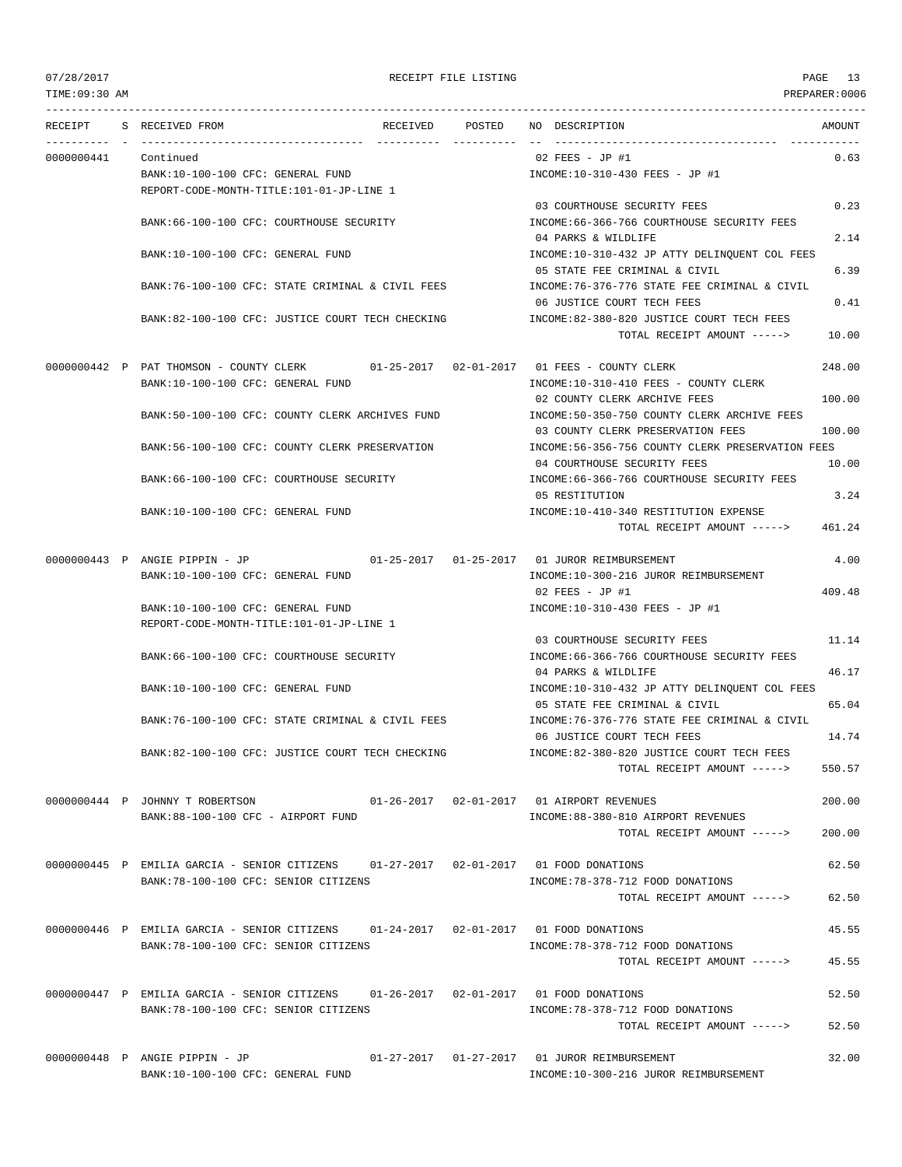TIME:09:30 AM PREPARER:0006 --------------------------------------------------------------------------------------------------------------------------------- RECEIPT S RECEIVED FROM RECEIVED POSTED NO DESCRIPTION AMOUNT ---------- - ----------------------------------- ---------- ---------- -- ----------------------------------- ----------- 0000000441 Continued 02 FEES - JP #1 0.63 BANK:10-100-100 CFC: GENERAL FUND INCOME:10-310-430 FEES - JP #1 REPORT-CODE-MONTH-TITLE:101-01-JP-LINE 1 03 COURTHOUSE SECURITY FEES 0.23 BANK:66-100-100 CFC: COURTHOUSE SECURITY INCOME:66-366-766 COURTHOUSE SECURITY FEES 04 PARKS & WILDLIFE 2.14 BANK:10-100-100 CFC: GENERAL FUND INCOME:10-310-432 JP ATTY DELINQUENT COL FEES 05 STATE FEE CRIMINAL & CIVIL 6.39 BANK:76-100-100 CFC: STATE CRIMINAL & CIVIL FEES INCOME:76-376-776 STATE FEE CRIMINAL & CIVIL 06 JUSTICE COURT TECH FEES 0.41 BANK:82-100-100 CFC: JUSTICE COURT TECH CHECKING INCOME:82-380-820 JUSTICE COURT TECH FEES TOTAL RECEIPT AMOUNT -----> 10.00 0000000442 P PAT THOMSON - COUNTY CLERK 01-25-2017 02-01-2017 01 FEES - COUNTY CLERK 248.00 BANK:10-100-100 CFC: GENERAL FUND INCOME:10-310-410 FEES - COUNTY CLERK 02 COUNTY CLERK ARCHIVE FEES 100.00 BANK:50-100-100 CFC: COUNTY CLERK ARCHIVES FUND INCOME:50-350-750 COUNTY CLERK ARCHIVE FEES 03 COUNTY CLERK PRESERVATION FEES 100.00 BANK:56-100-100 CFC: COUNTY CLERK PRESERVATION INCOME:56-356-756 COUNTY CLERK PRESERVATION FEES 04 COURTHOUSE SECURITY FEES 10.00 BANK:66-100-100 CFC: COURTHOUSE SECURITY INCOME:66-366-766 COURTHOUSE SECURITY FEES 05 RESTITUTION 3.24 BANK:10-100-100 CFC: GENERAL FUND INCOME:10-410-340 RESTITUTION EXPENSE TOTAL RECEIPT AMOUNT -----> 461.24 0000000443 P ANGIE PIPPIN - JP 01-25-2017 01-25-2017 01 JUROR REIMBURSEMENT 4.00 BANK:10-100-100 CFC: GENERAL FUND INCOME:10-300-216 JUROR REIMBURSEMENT 02 FEES - JP #1 409.48 BANK:10-100-100 CFC: GENERAL FUND INCOME:10-310-430 FEES - JP #1 REPORT-CODE-MONTH-TITLE:101-01-JP-LINE 1 03 COURTHOUSE SECURITY FEES 11.14 BANK:66-100-100 CFC: COURTHOUSE SECURITY INCOME:66-366-766 COURTHOUSE SECURITY FEES 04 PARKS & WILDLIFE 46.17 BANK:10-100-100 CFC: GENERAL FUND INCOME:10-310-432 JP ATTY DELINQUENT COL FEES 05 STATE FEE CRIMINAL & CIVIL 65.04 BANK:76-100-100 CFC: STATE CRIMINAL & CIVIL FEES INCOME:76-376-776 STATE FEE CRIMINAL & CIVIL 06 JUSTICE COURT TECH FEES 14.74 BANK:82-100-100 CFC: JUSTICE COURT TECH CHECKING INCOME:82-380-820 JUSTICE COURT TECH FEES TOTAL RECEIPT AMOUNT -----> 550.57 0000000444 P JOHNNY T ROBERTSON 01-26-2017 02-01-2017 01 AIRPORT REVENUES 200.00 BANK:88-100-100 CFC - AIRPORT FUND INCOME:88-380-810 AIRPORT REVENUES TOTAL RECEIPT AMOUNT -----> 200.00 0000000445 P EMILIA GARCIA - SENIOR CITIZENS 01-27-2017 02-01-2017 01 FOOD DONATIONS 62.50 BANK:78-100-100 CFC: SENIOR CITIZENS INCOME:78-378-712 FOOD DONATIONS TOTAL RECEIPT AMOUNT -----> 62.50 0000000446 P EMILIA GARCIA - SENIOR CITIZENS 01-24-2017 02-01-2017 01 FOOD DONATIONS 45.55 BANK:78-100-100 CFC: SENIOR CITIZENS INCOME:78-378-712 FOOD DONATIONS TOTAL RECEIPT AMOUNT -----> 45.55 0000000447 P EMILIA GARCIA - SENIOR CITIZENS 01-26-2017 02-01-2017 01 FOOD DONATIONS 52.50 BANK:78-100-100 CFC: SENIOR CITIZENS INCOME:78-378-712 FOOD DONATIONS TOTAL RECEIPT AMOUNT -----> 52.50 0000000448 P ANGIE PIPPIN - JP 01-27-2017 01-27-2017 01 JUROR REIMBURSEMENT 32.00

BANK:10-100-100 CFC: GENERAL FUND INCOME:10-300-216 JUROR REIMBURSEMENT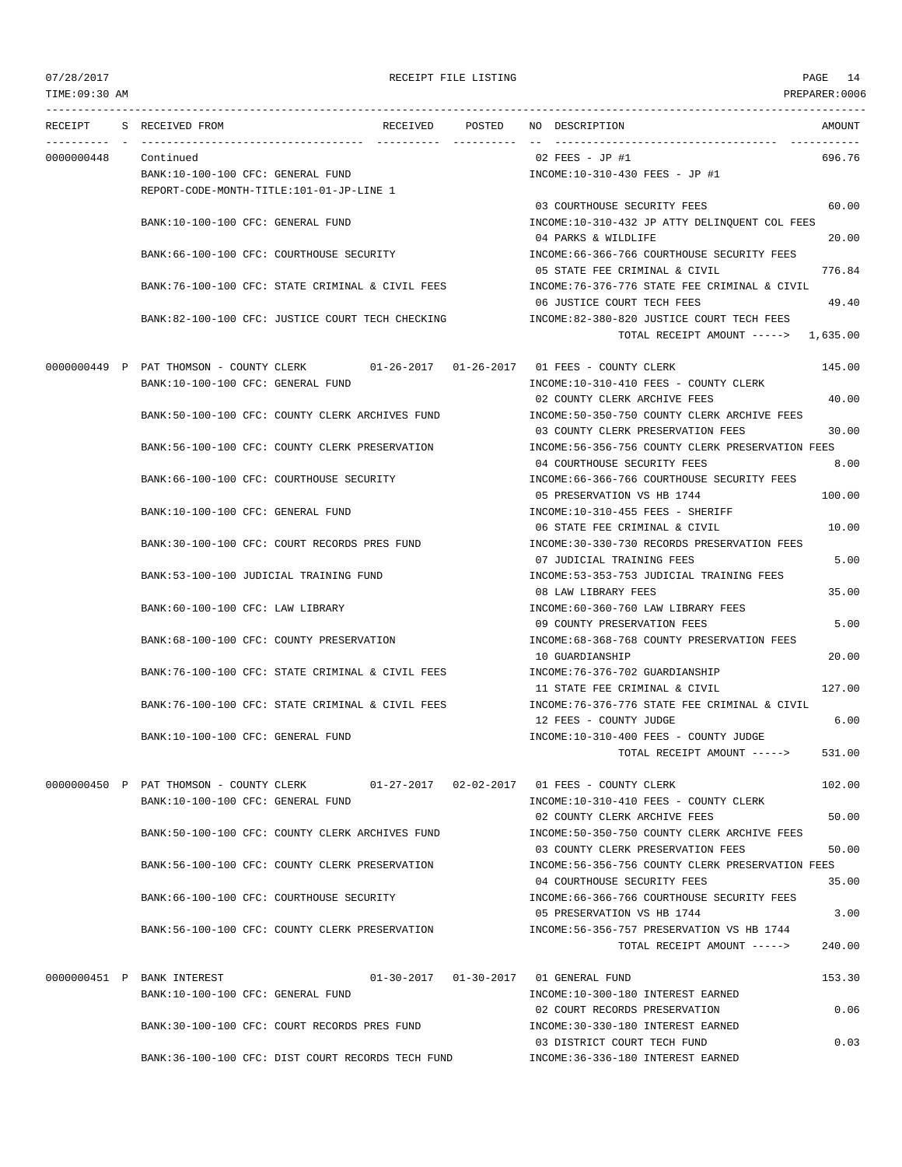TIME:09:30 AM PREPARER:0006

# 07/28/2017 RECEIPT FILE LISTING PAGE 14

| RECEIPT    | S RECEIVED FROM                                                 | RECEIVED POSTED                                                                      | NO DESCRIPTION                                                                                                  | AMOUNT         |
|------------|-----------------------------------------------------------------|--------------------------------------------------------------------------------------|-----------------------------------------------------------------------------------------------------------------|----------------|
| 0000000448 | Continued                                                       |                                                                                      | $02$ FEES - JP #1                                                                                               | 696.76         |
|            | BANK:10-100-100 CFC: GENERAL FUND                               | REPORT-CODE-MONTH-TITLE:101-01-JP-LINE 1                                             | INCOME:10-310-430 FEES - JP #1                                                                                  |                |
|            | BANK:10-100-100 CFC: GENERAL FUND                               |                                                                                      | 03 COURTHOUSE SECURITY FEES<br>INCOME:10-310-432 JP ATTY DELINQUENT COL FEES                                    | 60.00          |
|            |                                                                 | BANK:66-100-100 CFC: COURTHOUSE SECURITY                                             | 04 PARKS & WILDLIFE<br>INCOME: 66-366-766 COURTHOUSE SECURITY FEES                                              | 20.00          |
|            |                                                                 | BANK:76-100-100 CFC: STATE CRIMINAL & CIVIL FEES                                     | 05 STATE FEE CRIMINAL & CIVIL<br>INCOME:76-376-776 STATE FEE CRIMINAL & CIVIL                                   | 776.84         |
|            |                                                                 | BANK:82-100-100 CFC: JUSTICE COURT TECH CHECKING                                     | 06 JUSTICE COURT TECH FEES<br>INCOME:82-380-820 JUSTICE COURT TECH FEES<br>TOTAL RECEIPT AMOUNT -----> 1,635.00 | 49.40          |
|            |                                                                 | 0000000449 P PAT THOMSON - COUNTY CLERK 01-26-2017 01-26-2017 01 FEES - COUNTY CLERK |                                                                                                                 | 145.00         |
|            | BANK:10-100-100 CFC: GENERAL FUND                               |                                                                                      | INCOME:10-310-410 FEES - COUNTY CLERK<br>02 COUNTY CLERK ARCHIVE FEES                                           | 40.00          |
|            |                                                                 | BANK:50-100-100 CFC: COUNTY CLERK ARCHIVES FUND                                      | INCOME:50-350-750 COUNTY CLERK ARCHIVE FEES<br>03 COUNTY CLERK PRESERVATION FEES                                | 30.00          |
|            |                                                                 | BANK:56-100-100 CFC: COUNTY CLERK PRESERVATION                                       | INCOME:56-356-756 COUNTY CLERK PRESERVATION FEES<br>04 COURTHOUSE SECURITY FEES                                 | 8.00           |
|            |                                                                 | BANK:66-100-100 CFC: COURTHOUSE SECURITY                                             | INCOME: 66-366-766 COURTHOUSE SECURITY FEES<br>05 PRESERVATION VS HB 1744                                       | 100.00         |
|            | BANK:10-100-100 CFC: GENERAL FUND                               |                                                                                      | INCOME:10-310-455 FEES - SHERIFF<br>06 STATE FEE CRIMINAL & CIVIL                                               | 10.00          |
|            |                                                                 | BANK:30-100-100 CFC: COURT RECORDS PRES FUND                                         | INCOME:30-330-730 RECORDS PRESERVATION FEES<br>07 JUDICIAL TRAINING FEES                                        | 5.00           |
|            | BANK:53-100-100 JUDICIAL TRAINING FUND                          |                                                                                      | INCOME: 53-353-753 JUDICIAL TRAINING FEES<br>08 LAW LIBRARY FEES                                                | 35.00          |
|            | BANK:60-100-100 CFC: LAW LIBRARY                                |                                                                                      | INCOME: 60-360-760 LAW LIBRARY FEES<br>09 COUNTY PRESERVATION FEES                                              | 5.00           |
|            |                                                                 | BANK:68-100-100 CFC: COUNTY PRESERVATION                                             | INCOME: 68-368-768 COUNTY PRESERVATION FEES<br>10 GUARDIANSHIP                                                  | 20.00          |
|            |                                                                 | BANK:76-100-100 CFC: STATE CRIMINAL & CIVIL FEES                                     | INCOME: 76-376-702 GUARDIANSHIP<br>11 STATE FEE CRIMINAL & CIVIL                                                | 127.00         |
|            |                                                                 | BANK:76-100-100 CFC: STATE CRIMINAL & CIVIL FEES                                     | INCOME: 76-376-776 STATE FEE CRIMINAL & CIVIL<br>12 FEES - COUNTY JUDGE                                         | 6.00           |
|            | BANK:10-100-100 CFC: GENERAL FUND                               |                                                                                      | INCOME:10-310-400 FEES - COUNTY JUDGE<br>TOTAL RECEIPT AMOUNT ----->                                            | 531.00         |
|            | 0000000450 P PAT THOMSON - COUNTY CLERK                         |                                                                                      | 01-27-2017  02-02-2017  01 FEES - COUNTY CLERK                                                                  | 102.00         |
|            | BANK:10-100-100 CFC: GENERAL FUND                               |                                                                                      | INCOME:10-310-410 FEES - COUNTY CLERK<br>02 COUNTY CLERK ARCHIVE FEES                                           | 50.00          |
|            |                                                                 | BANK:50-100-100 CFC: COUNTY CLERK ARCHIVES FUND                                      | INCOME:50-350-750 COUNTY CLERK ARCHIVE FEES<br>03 COUNTY CLERK PRESERVATION FEES                                | 50.00          |
|            |                                                                 | BANK:56-100-100 CFC: COUNTY CLERK PRESERVATION                                       | INCOME:56-356-756 COUNTY CLERK PRESERVATION FEES<br>04 COURTHOUSE SECURITY FEES                                 | 35.00          |
|            |                                                                 | BANK: 66-100-100 CFC: COURTHOUSE SECURITY                                            | INCOME: 66-366-766 COURTHOUSE SECURITY FEES                                                                     |                |
|            |                                                                 | BANK:56-100-100 CFC: COUNTY CLERK PRESERVATION                                       | 05 PRESERVATION VS HB 1744<br>INCOME: 56-356-757 PRESERVATION VS HB 1744<br>TOTAL RECEIPT AMOUNT ----->         | 3.00<br>240.00 |
|            |                                                                 |                                                                                      |                                                                                                                 |                |
|            | 0000000451 P BANK INTEREST<br>BANK:10-100-100 CFC: GENERAL FUND |                                                                                      | 01-30-2017   01-30-2017   01 GENERAL FUND<br>INCOME:10-300-180 INTEREST EARNED                                  | 153.30         |
|            |                                                                 | BANK:30-100-100 CFC: COURT RECORDS PRES FUND                                         | 02 COURT RECORDS PRESERVATION<br>INCOME: 30-330-180 INTEREST EARNED                                             | 0.06           |
|            |                                                                 | BANK:36-100-100 CFC: DIST COURT RECORDS TECH FUND                                    | 03 DISTRICT COURT TECH FUND<br>INCOME: 36-336-180 INTEREST EARNED                                               | 0.03           |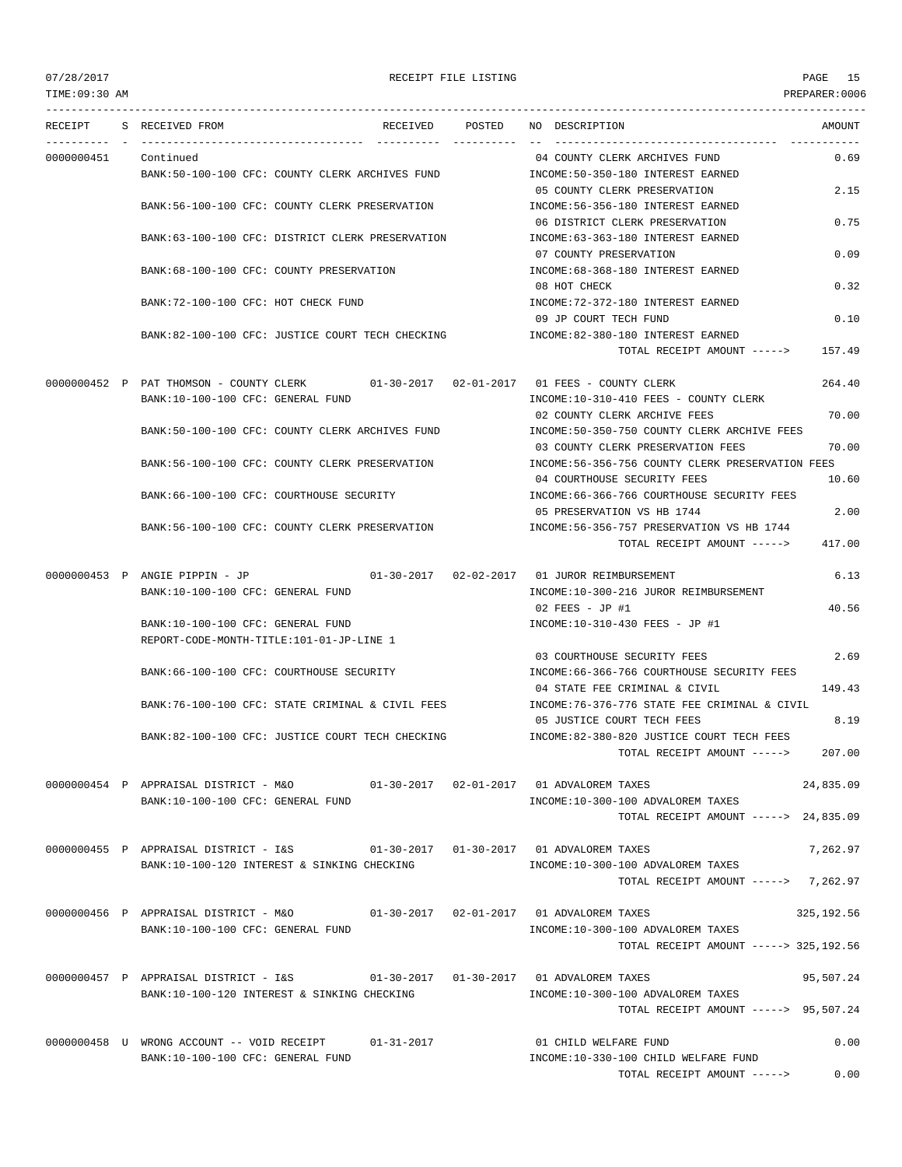TIME:09:30 AM PREPARER:0006

### 07/28/2017 RECEIPT FILE LISTING PAGE 15

--------------------------------------------------------------------------------------------------------------------------------- RECEIPT S RECEIVED FROM THE RECEIVED POSTED NO DESCRIPTION THE RECEIVED AMOUNT ---------- - ----------------------------------- ---------- ---------- -- ----------------------------------- ----------- 0000000451 Continued 0.69 COUNTY CLERK ARCHIVES FUND 0.69 BANK:50-100-100 CFC: COUNTY CLERK ARCHIVES FUND INCOME:50-350-180 INTEREST EARNED 05 COUNTY CLERK PRESERVATION 2.15 BANK:56-100-100 CFC: COUNTY CLERK PRESERVATION INCOME:56-356-180 INTEREST EARNED 06 DISTRICT CLERK PRESERVATION 0.75 BANK:63-100-100 CFC: DISTRICT CLERK PRESERVATION INCOME:63-363-180 INTEREST EARNED 07 COUNTY PRESERVATION 0.09 BANK:68-100-100 CFC: COUNTY PRESERVATION  $\qquad \qquad \text{INCOME:68-368-180}\ \text{INTEREST EARNING}$ 08 HOT CHECK 0.32 BANK:72-100-100 CFC: HOT CHECK FUND INCOME:72-372-180 INTEREST EARNED 09 JP COURT TECH FUND 0.10 BANK:82-100-100 CFC: JUSTICE COURT TECH CHECKING INCOME:82-380-180 INTEREST EARNED TOTAL RECEIPT AMOUNT -----> 157.49 0000000452 P PAT THOMSON - COUNTY CLERK 01-30-2017 02-01-2017 01 FEES - COUNTY CLERK 264.40 BANK:10-100-100 CFC: GENERAL FUND INCOME:10-310-410 FEES - COUNTY CLERK 02 COUNTY CLERK ARCHIVE FEES 70.00 BANK:50-100-100 CFC: COUNTY CLERK ARCHIVES FUND INCOME:50-350-750 COUNTY CLERK ARCHIVE FEES 03 COUNTY CLERK PRESERVATION FEES 70.00 BANK:56-100-100 CFC: COUNTY CLERK PRESERVATION INCOME:56-356-756 COUNTY CLERK PRESERVATION FEES 04 COURTHOUSE SECURITY FEES 10.60 BANK:66-100-100 CFC: COURTHOUSE SECURITY INCOME:66-366-766 COURTHOUSE SECURITY FEES 05 PRESERVATION VS HB 1744 2.00 BANK:56-100-100 CFC: COUNTY CLERK PRESERVATION INCOME:56-356-757 PRESERVATION VS HB 1744 TOTAL RECEIPT AMOUNT -----> 417.00 0000000453 P ANGIE PIPPIN - JP 01-30-2017 02-02-2017 01 JUROR REIMBURSEMENT 6.13 BANK:10-100-100 CFC: GENERAL FUND INCOME:10-300-216 JUROR REIMBURSEMENT 02 FEES - JP #1 40.56 BANK:10-100-100 CFC: GENERAL FUND INCOME:10-310-430 FEES - JP #1 REPORT-CODE-MONTH-TITLE:101-01-JP-LINE 1 03 COURTHOUSE SECURITY FEES 2.69 BANK:66-100-100 CFC: COURTHOUSE SECURITY INCOME:66-366-766 COURTHOUSE SECURITY FEES 04 STATE FEE CRIMINAL & CIVIL 149.43 BANK:76-100-100 CFC: STATE CRIMINAL & CIVIL FEES INCOME:76-376-776 STATE FEE CRIMINAL & CIVIL 05 JUSTICE COURT TECH FEES 8.19 BANK:82-100-100 CFC: JUSTICE COURT TECH CHECKING INCOME:82-380-820 JUSTICE COURT TECH FEES TOTAL RECEIPT AMOUNT -----> 207.00 0000000454 P APPRAISAL DISTRICT - M&O 01-30-2017 02-01-2017 01 ADVALOREM TAXES 24,835.09 BANK:10-100-100 CFC: GENERAL FUND INCOME:10-300-100 ADVALOREM TAXES TOTAL RECEIPT AMOUNT -----> 24,835.09 0000000455 P APPRAISAL DISTRICT - I&S 01-30-2017 01-30-2017 01 ADVALOREM TAXES 7,262.97 BANK:10-100-120 INTEREST & SINKING CHECKING **INCOME:10-300-100 ADVALOREM TAXES** TOTAL RECEIPT AMOUNT -----> 7,262.97 0000000456 P APPRAISAL DISTRICT - M&O 01-30-2017 02-01-2017 01 ADVALOREM TAXES 325,192.56 BANK:10-100-100 CFC: GENERAL FUND INCOME:10-300-100 ADVALOREM TAXES TOTAL RECEIPT AMOUNT -----> 325,192.56 0000000457 P APPRAISAL DISTRICT - I&S 01-30-2017 01-30-2017 01 ADVALOREM TAXES 95,507.24 BANK:10-100-120 INTEREST & SINKING CHECKING INCOME:10-300-100 ADVALOREM TAXES TOTAL RECEIPT AMOUNT -----> 95,507.24 0000000458 U WRONG ACCOUNT -- VOID RECEIPT 01-31-2017 01 CHILD WELFARE FUND 0.00 BANK:10-100-100 CFC: GENERAL FUND INCOME:10-330-100 CHILD WELFARE FUND TOTAL RECEIPT AMOUNT -----> 0.00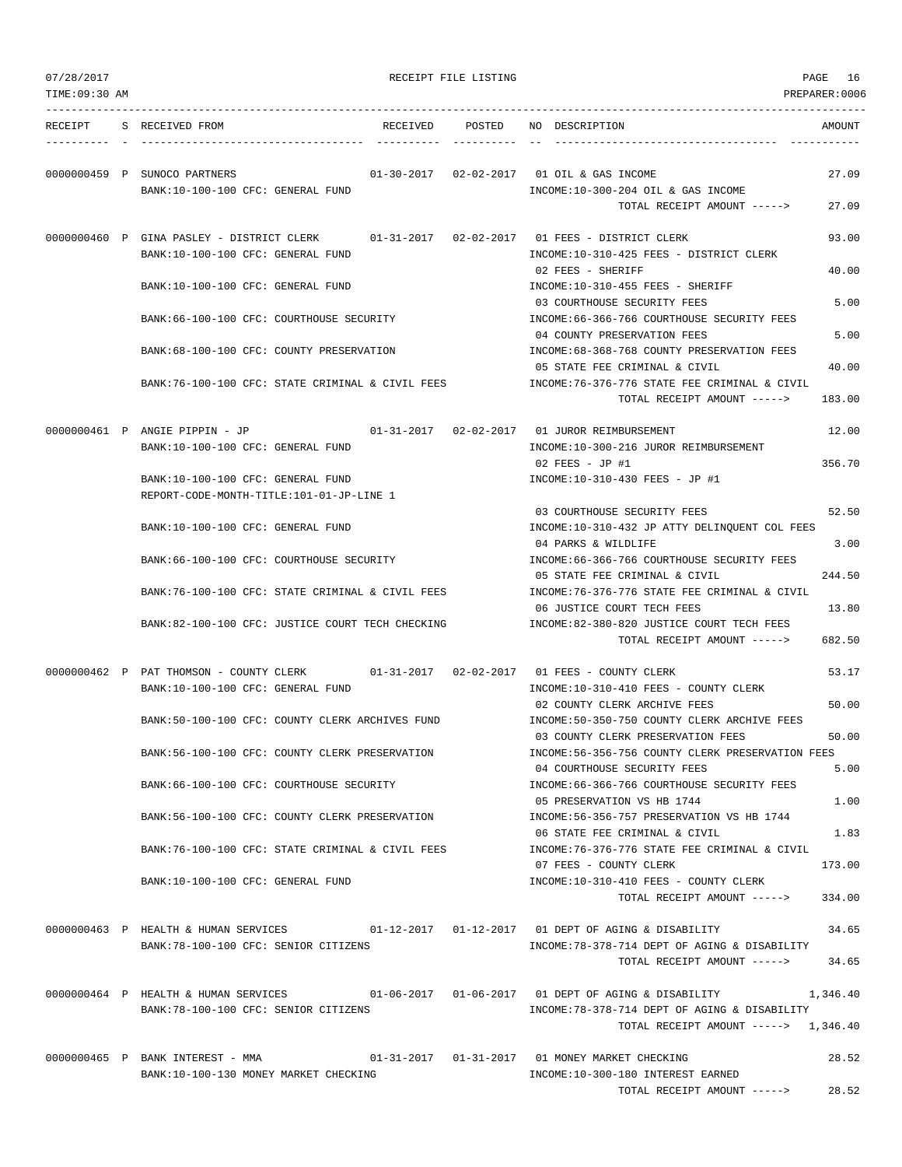| 07/28/2017     |                                                                                                                                  | RECEIPT FILE LISTING |                                                                                                                      | PAGE<br>16       |
|----------------|----------------------------------------------------------------------------------------------------------------------------------|----------------------|----------------------------------------------------------------------------------------------------------------------|------------------|
| TIME: 09:30 AM |                                                                                                                                  |                      |                                                                                                                      | PREPARER:0006    |
|                | RECEIPT S RECEIVED FROM                                                                                                          |                      | RECEIVED POSTED NO DESCRIPTION                                                                                       | AMOUNT           |
|                | 0000000459 P SUNOCO PARTNERS<br>BANK:10-100-100 CFC: GENERAL FUND                                                                |                      | 01-30-2017  02-02-2017  01 OIL & GAS INCOME<br>INCOME:10-300-204 OIL & GAS INCOME<br>TOTAL RECEIPT AMOUNT ----->     | 27.09<br>27.09   |
|                | 0000000460 P GINA PASLEY - DISTRICT CLERK<br>BANK:10-100-100 CFC: GENERAL FUND                                                   |                      | 01-31-2017   02-02-2017   01   FEES - DISTRICT CLERK<br>INCOME:10-310-425 FEES - DISTRICT CLERK                      | 93.00            |
|                | BANK:10-100-100 CFC: GENERAL FUND                                                                                                |                      | 02 FEES - SHERIFF<br>INCOME:10-310-455 FEES - SHERIFF                                                                | 40.00            |
|                | BANK:66-100-100 CFC: COURTHOUSE SECURITY                                                                                         |                      | 03 COURTHOUSE SECURITY FEES<br>INCOME: 66-366-766 COURTHOUSE SECURITY FEES                                           | 5.00             |
|                | BANK:68-100-100 CFC: COUNTY PRESERVATION                                                                                         |                      | 04 COUNTY PRESERVATION FEES<br>INCOME:68-368-768 COUNTY PRESERVATION FEES                                            | 5.00             |
|                | BANK:76-100-100 CFC: STATE CRIMINAL & CIVIL FEES                                                                                 |                      | 05 STATE FEE CRIMINAL & CIVIL<br>INCOME:76-376-776 STATE FEE CRIMINAL & CIVIL                                        | 40.00            |
|                |                                                                                                                                  |                      | TOTAL RECEIPT AMOUNT ----->                                                                                          | 183.00           |
|                | 0000000461 P ANGIE PIPPIN - JP<br>BANK:10-100-100 CFC: GENERAL FUND                                                              |                      | 01-31-2017   02-02-2017   01   JUROR REIMBURSEMENT<br>INCOME:10-300-216 JUROR REIMBURSEMENT<br>$02$ FEES - JP #1     | 12.00<br>356.70  |
|                | BANK:10-100-100 CFC: GENERAL FUND<br>REPORT-CODE-MONTH-TITLE:101-01-JP-LINE 1                                                    |                      | INCOME:10-310-430 FEES - JP #1                                                                                       |                  |
|                | BANK:10-100-100 CFC: GENERAL FUND                                                                                                |                      | 03 COURTHOUSE SECURITY FEES<br>INCOME:10-310-432 JP ATTY DELINQUENT COL FEES                                         | 52.50            |
|                | BANK:66-100-100 CFC: COURTHOUSE SECURITY                                                                                         |                      | 04 PARKS & WILDLIFE<br>INCOME: 66-366-766 COURTHOUSE SECURITY FEES                                                   | 3.00             |
|                | BANK:76-100-100 CFC: STATE CRIMINAL & CIVIL FEES                                                                                 |                      | 05 STATE FEE CRIMINAL & CIVIL<br>INCOME:76-376-776 STATE FEE CRIMINAL & CIVIL<br>06 JUSTICE COURT TECH FEES          | 244.50<br>13.80  |
|                | BANK:82-100-100 CFC: JUSTICE COURT TECH CHECKING                                                                                 |                      | INCOME:82-380-820 JUSTICE COURT TECH FEES<br>TOTAL RECEIPT AMOUNT ----->                                             | 682.50           |
|                | 0000000462 P PAT THOMSON - COUNTY CLERK 01-31-2017 02-02-2017 01 FEES - COUNTY CLERK                                             |                      |                                                                                                                      | 53.17            |
|                | BANK:10-100-100 CFC: GENERAL FUND<br>BANK:50-100-100 CFC: COUNTY CLERK ARCHIVES FUND                                             |                      | INCOME:10-310-410 FEES - COUNTY CLERK<br>02 COUNTY CLERK ARCHIVE FEES<br>INCOME:50-350-750 COUNTY CLERK ARCHIVE FEES | 50.00            |
|                | BANK:56-100-100 CFC: COUNTY CLERK PRESERVATION                                                                                   |                      | 03 COUNTY CLERK PRESERVATION FEES<br>INCOME:56-356-756 COUNTY CLERK PRESERVATION FEES                                | 50.00            |
|                | BANK: 66-100-100 CFC: COURTHOUSE SECURITY                                                                                        |                      | 04 COURTHOUSE SECURITY FEES<br>INCOME: 66-366-766 COURTHOUSE SECURITY FEES                                           | 5.00             |
|                | BANK:56-100-100 CFC: COUNTY CLERK PRESERVATION                                                                                   |                      | 05 PRESERVATION VS HB 1744<br>INCOME: 56-356-757 PRESERVATION VS HB 1744                                             | 1.00             |
|                | BANK:76-100-100 CFC: STATE CRIMINAL & CIVIL FEES                                                                                 |                      | 06 STATE FEE CRIMINAL & CIVIL<br>INCOME: 76-376-776 STATE FEE CRIMINAL & CIVIL                                       | 1.83             |
|                | BANK:10-100-100 CFC: GENERAL FUND                                                                                                |                      | 07 FEES - COUNTY CLERK<br>INCOME:10-310-410 FEES - COUNTY CLERK<br>TOTAL RECEIPT AMOUNT ----->                       | 173.00<br>334.00 |
|                | 0000000463 P HEALTH & HUMAN SERVICES 01-12-2017 01-12-2017 01 DEPT OF AGING & DISABILITY<br>BANK:78-100-100 CFC: SENIOR CITIZENS |                      | INCOME: 78-378-714 DEPT OF AGING & DISABILITY<br>TOTAL RECEIPT AMOUNT ----->                                         | 34.65<br>34.65   |
|                | 0000000464 P HEALTH & HUMAN SERVICES<br>BANK:78-100-100 CFC: SENIOR CITIZENS                                                     |                      | INCOME:78-378-714 DEPT OF AGING & DISABILITY<br>TOTAL RECEIPT AMOUNT -----> 1,346.40                                 | 1,346.40         |
|                | 0000000465 P BANK INTEREST - MMA<br>BANK:10-100-130 MONEY MARKET CHECKING                                                        |                      | INCOME:10-300-180 INTEREST EARNED<br>TOTAL RECEIPT AMOUNT ----->                                                     | 28.52<br>28.52   |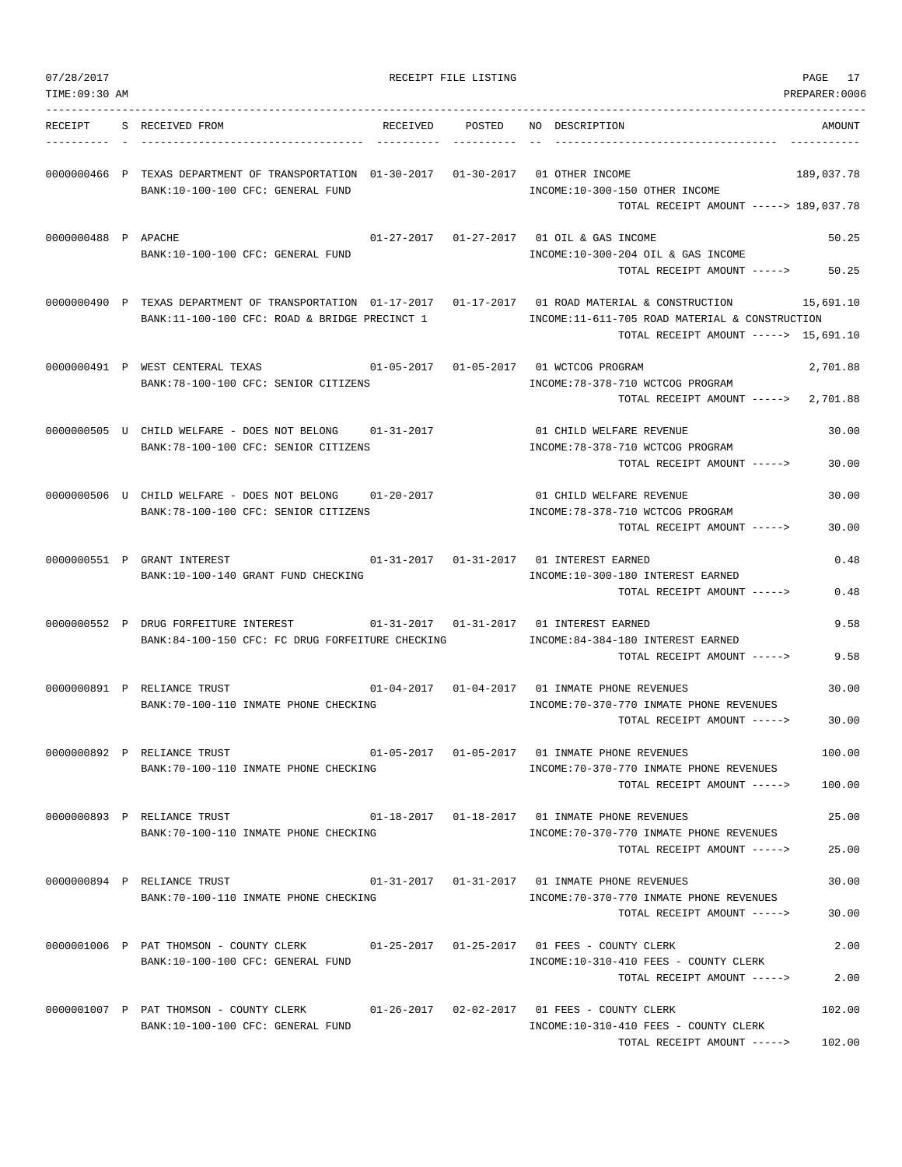| 07/28/2017<br>TIME: 09:30 AM |                                                                                                                                                        | RECEIPT FILE LISTING |                                                                                                                                                            | PAGE 17<br>PREPARER:0006 |
|------------------------------|--------------------------------------------------------------------------------------------------------------------------------------------------------|----------------------|------------------------------------------------------------------------------------------------------------------------------------------------------------|--------------------------|
| RECEIPT                      | S RECEIVED FROM<br>RECEIVED                                                                                                                            | POSTED               | NO DESCRIPTION                                                                                                                                             | AMOUNT                   |
|                              | 0000000466 P TEXAS DEPARTMENT OF TRANSPORTATION 01-30-2017 01-30-2017 01 OTHER INCOME<br>BANK:10-100-100 CFC: GENERAL FUND                             |                      | INCOME:10-300-150 OTHER INCOME                                                                                                                             | 189,037.78               |
| 0000000488 P APACHE          | BANK:10-100-100 CFC: GENERAL FUND                                                                                                                      |                      | TOTAL RECEIPT AMOUNT -----> 189,037.78<br>01-27-2017  01-27-2017  01 OIL & GAS INCOME<br>INCOME:10-300-204 OIL & GAS INCOME<br>TOTAL RECEIPT AMOUNT -----> | 50.25<br>50.25           |
|                              | 0000000490 P TEXAS DEPARTMENT OF TRANSPORTATION 01-17-2017 01-17-2017 01 ROAD MATERIAL & CONSTRUCTION<br>BANK:11-100-100 CFC: ROAD & BRIDGE PRECINCT 1 |                      | INCOME:11-611-705 ROAD MATERIAL & CONSTRUCTION<br>TOTAL RECEIPT AMOUNT -----> 15,691.10                                                                    | 15,691.10                |
|                              | 0000000491 P WEST CENTERAL TEXAS<br>BANK:78-100-100 CFC: SENIOR CITIZENS                                                                               |                      | 01-05-2017  01-05-2017  01 WCTCOG PROGRAM<br>INCOME: 78-378-710 WCTCOG PROGRAM<br>TOTAL RECEIPT AMOUNT ----->                                              | 2,701.88<br>2,701.88     |
|                              | 0000000505 U CHILD WELFARE - DOES NOT BELONG<br>BANK: 78-100-100 CFC: SENIOR CITIZENS                                                                  | $01 - 31 - 2017$     | 01 CHILD WELFARE REVENUE<br>INCOME: 78-378-710 WCTCOG PROGRAM<br>TOTAL RECEIPT AMOUNT ----->                                                               | 30.00<br>30.00           |
|                              | 0000000506 U CHILD WELFARE - DOES NOT BELONG<br>$01 - 20 - 2017$<br>BANK: 78-100-100 CFC: SENIOR CITIZENS                                              |                      | 01 CHILD WELFARE REVENUE<br>INCOME: 78-378-710 WCTCOG PROGRAM<br>TOTAL RECEIPT AMOUNT ----->                                                               | 30.00<br>30.00           |
|                              | 0000000551 P GRANT INTEREST<br>BANK:10-100-140 GRANT FUND CHECKING                                                                                     |                      | 01-31-2017    01-31-2017    01 INTEREST EARNED<br>INCOME:10-300-180 INTEREST EARNED<br>TOTAL RECEIPT AMOUNT ----->                                         | 0.48<br>0.48             |
|                              | 0000000552 P DRUG FORFEITURE INTEREST<br>BANK:84-100-150 CFC: FC DRUG FORFEITURE CHECKING                                                              |                      | INCOME: 84-384-180 INTEREST EARNED<br>TOTAL RECEIPT AMOUNT ----->                                                                                          | 9.58<br>9.58             |
|                              | 0000000891 P RELIANCE TRUST<br>BANK: 70-100-110 INMATE PHONE CHECKING                                                                                  |                      | 01-04-2017  01-04-2017  01 INMATE PHONE REVENUES<br>INCOME: 70-370-770 INMATE PHONE REVENUES<br>TOTAL RECEIPT AMOUNT ----->                                | 30.00<br>30.00           |
|                              | 0000000892 P RELIANCE TRUST<br>BANK:70-100-110 INMATE PHONE CHECKING                                                                                   |                      | 01-05-2017  01-05-2017  01 INMATE PHONE REVENUES<br>INCOME: 70-370-770 INMATE PHONE REVENUES<br>TOTAL RECEIPT AMOUNT ----->                                | 100.00<br>100.00         |
|                              | 0000000893 P RELIANCE TRUST<br>BANK:70-100-110 INMATE PHONE CHECKING                                                                                   |                      | 01-18-2017   01-18-2017   01 INMATE PHONE REVENUES<br>INCOME: 70-370-770 INMATE PHONE REVENUES<br>TOTAL RECEIPT AMOUNT ----->                              | 25.00<br>25.00           |
|                              | 0000000894 P RELIANCE TRUST<br>BANK:70-100-110 INMATE PHONE CHECKING                                                                                   |                      | INCOME: 70-370-770 INMATE PHONE REVENUES<br>TOTAL RECEIPT AMOUNT ----->                                                                                    | 30.00<br>30.00           |
|                              | 0000001006 P PAT THOMSON - COUNTY CLERK 01-25-2017 01-25-2017 01 FEES - COUNTY CLERK<br>BANK:10-100-100 CFC: GENERAL FUND                              |                      | INCOME:10-310-410 FEES - COUNTY CLERK<br>TOTAL RECEIPT AMOUNT ----->                                                                                       | 2.00<br>2.00             |
|                              | 0000001007 P PAT THOMSON - COUNTY CLERK 01-26-2017 02-02-2017 01 FEES - COUNTY CLERK<br>BANK:10-100-100 CFC: GENERAL FUND                              |                      | INCOME:10-310-410 FEES - COUNTY CLERK<br>TOTAL RECEIPT AMOUNT ----->                                                                                       | 102.00<br>102.00         |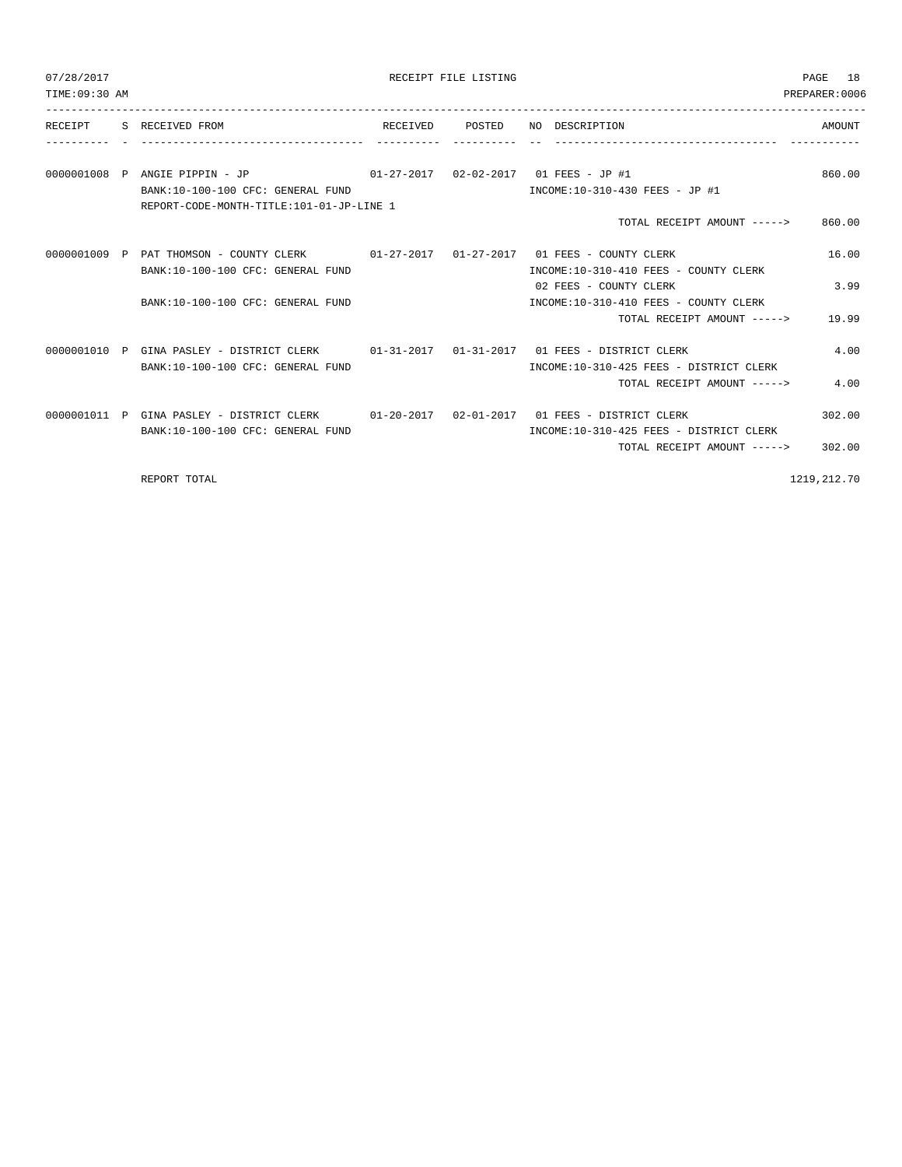| 07/28/2017<br>TIME: 09:30 AM |                                                                                                                               | RECEIPT FILE LISTING |                                                                 | PAGE 18<br>PREPARER:0006 |
|------------------------------|-------------------------------------------------------------------------------------------------------------------------------|----------------------|-----------------------------------------------------------------|--------------------------|
|                              | RECEIPT S RECEIVED FROM<br>--------------------- --------                                                                     |                      | RECEIVED POSTED NO DESCRIPTION                                  | AMOUNT                   |
|                              | BANK: 10-100-100 CFC: GENERAL FUND                                                                                            |                      | INCOME:10-310-430 FEES - JP #1                                  | 860.00                   |
|                              | REPORT-CODE-MONTH-TITLE:101-01-JP-LINE 1                                                                                      |                      | TOTAL RECEIPT AMOUNT -----> 860.00                              |                          |
|                              | 0000001009 P PAT THOMSON - COUNTY CLERK 01-27-2017 01-27-2017 01 FEES - COUNTY CLERK<br>BANK:10-100-100 CFC: GENERAL FUND     |                      | INCOME:10-310-410 FEES - COUNTY CLERK                           | 16.00                    |
|                              | BANK:10-100-100 CFC: GENERAL FUND                                                                                             |                      | 02 FEES - COUNTY CLERK<br>INCOME:10-310-410 FEES - COUNTY CLERK | 3.99                     |
|                              |                                                                                                                               |                      | TOTAL RECEIPT AMOUNT -----> 19.99                               |                          |
|                              | 0000001010 P GINA PASLEY - DISTRICT CLERK 01-31-2017 01-31-2017 01 FEES - DISTRICT CLERK<br>BANK:10-100-100 CFC: GENERAL FUND |                      | INCOME:10-310-425 FEES - DISTRICT CLERK                         | 4.00                     |
|                              |                                                                                                                               |                      | TOTAL RECEIPT AMOUNT ----->                                     | 4.00                     |
|                              | 0000001011 P GINA PASLEY - DISTRICT CLERK 01-20-2017 02-01-2017 01 FEES - DISTRICT CLERK<br>BANK:10-100-100 CFC: GENERAL FUND |                      | INCOME:10-310-425 FEES - DISTRICT CLERK                         | 302.00                   |
|                              |                                                                                                                               |                      | TOTAL RECEIPT AMOUNT -----> 302.00                              |                          |
|                              | REPORT TOTAL                                                                                                                  |                      |                                                                 | 1219, 212. 70            |